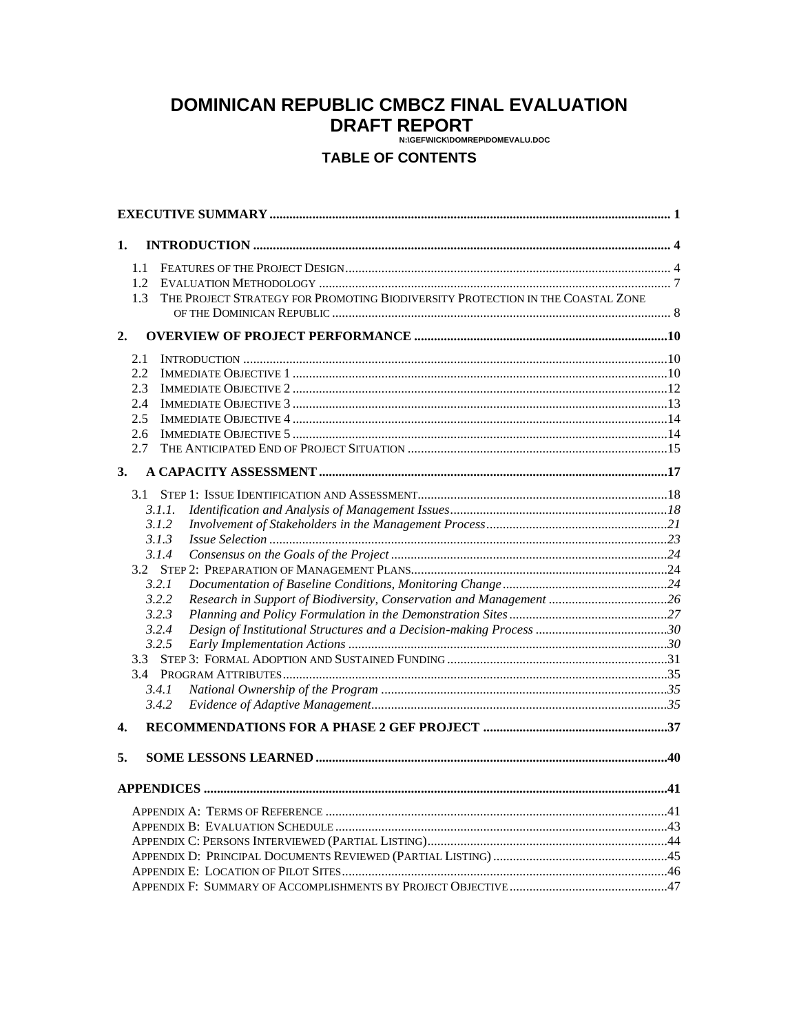# **DOMINICAN REPUBLIC CMBCZ FINAL EVALUATION DRAFT REPORT**

# **TABLE OF CONTENTS**

| 1.                          |                                                                                |    |
|-----------------------------|--------------------------------------------------------------------------------|----|
| 1.1<br>$1.2^{\circ}$<br>1.3 | THE PROJECT STRATEGY FOR PROMOTING BIODIVERSITY PROTECTION IN THE COASTAL ZONE |    |
|                             |                                                                                |    |
| 2.                          |                                                                                |    |
| 2.1                         |                                                                                |    |
| 2.2<br>2.3                  |                                                                                |    |
| 2.4                         |                                                                                |    |
| 2.5                         |                                                                                |    |
| 2.6                         |                                                                                |    |
| 2.7                         |                                                                                |    |
| 3.                          |                                                                                |    |
|                             |                                                                                |    |
|                             | 3.1.1.                                                                         |    |
|                             | 3.1.2                                                                          |    |
|                             | 3.1.3                                                                          |    |
|                             | 3.1.4                                                                          |    |
|                             |                                                                                |    |
|                             | 3.2.1                                                                          |    |
|                             | Research in Support of Biodiversity, Conservation and Management 26<br>3.2.2   |    |
|                             | 3.2.3<br>3.2.4                                                                 |    |
|                             | 3.2.5                                                                          |    |
|                             |                                                                                |    |
|                             |                                                                                |    |
|                             | 3.4.1                                                                          |    |
|                             | 3.4.2                                                                          |    |
| 4.                          |                                                                                |    |
| 5.                          |                                                                                |    |
|                             |                                                                                |    |
|                             | APPENDICES                                                                     | 41 |
|                             |                                                                                |    |
|                             |                                                                                |    |
|                             |                                                                                |    |
|                             |                                                                                |    |
|                             |                                                                                |    |
|                             |                                                                                |    |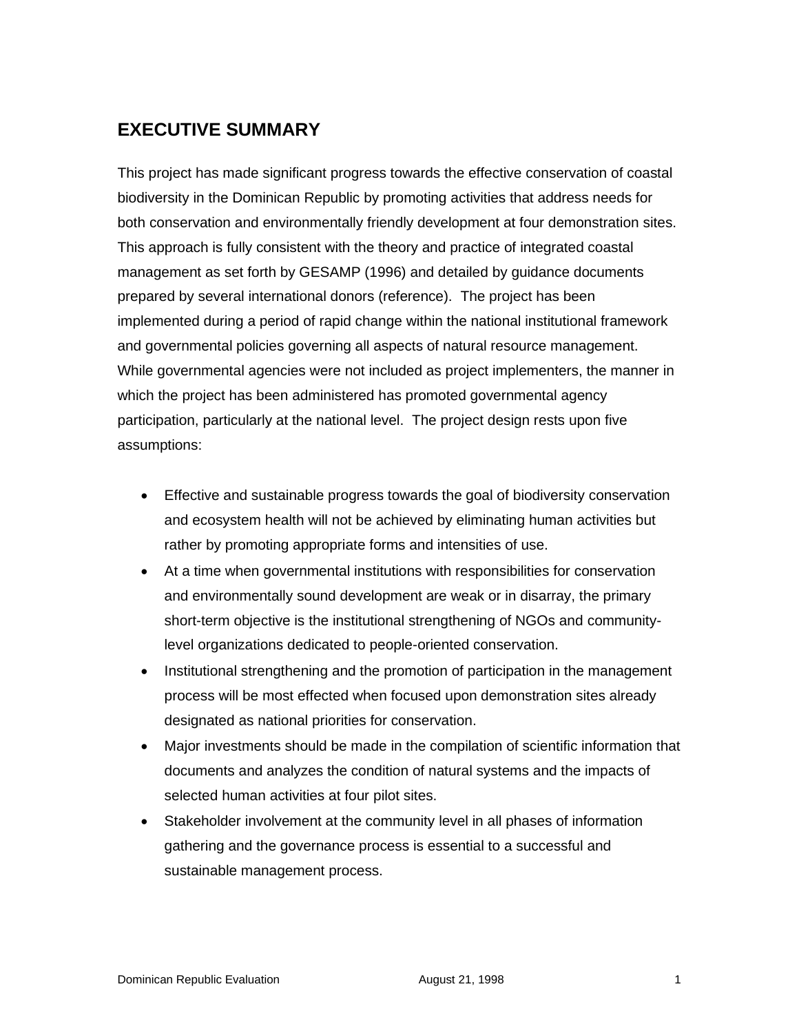# **EXECUTIVE SUMMARY**

This project has made significant progress towards the effective conservation of coastal biodiversity in the Dominican Republic by promoting activities that address needs for both conservation and environmentally friendly development at four demonstration sites. This approach is fully consistent with the theory and practice of integrated coastal management as set forth by GESAMP (1996) and detailed by guidance documents prepared by several international donors (reference). The project has been implemented during a period of rapid change within the national institutional framework and governmental policies governing all aspects of natural resource management. While governmental agencies were not included as project implementers, the manner in which the project has been administered has promoted governmental agency participation, particularly at the national level. The project design rests upon five assumptions:

- Effective and sustainable progress towards the goal of biodiversity conservation and ecosystem health will not be achieved by eliminating human activities but rather by promoting appropriate forms and intensities of use.
- At a time when governmental institutions with responsibilities for conservation and environmentally sound development are weak or in disarray, the primary short-term objective is the institutional strengthening of NGOs and communitylevel organizations dedicated to people-oriented conservation.
- Institutional strengthening and the promotion of participation in the management process will be most effected when focused upon demonstration sites already designated as national priorities for conservation.
- Major investments should be made in the compilation of scientific information that documents and analyzes the condition of natural systems and the impacts of selected human activities at four pilot sites.
- Stakeholder involvement at the community level in all phases of information gathering and the governance process is essential to a successful and sustainable management process.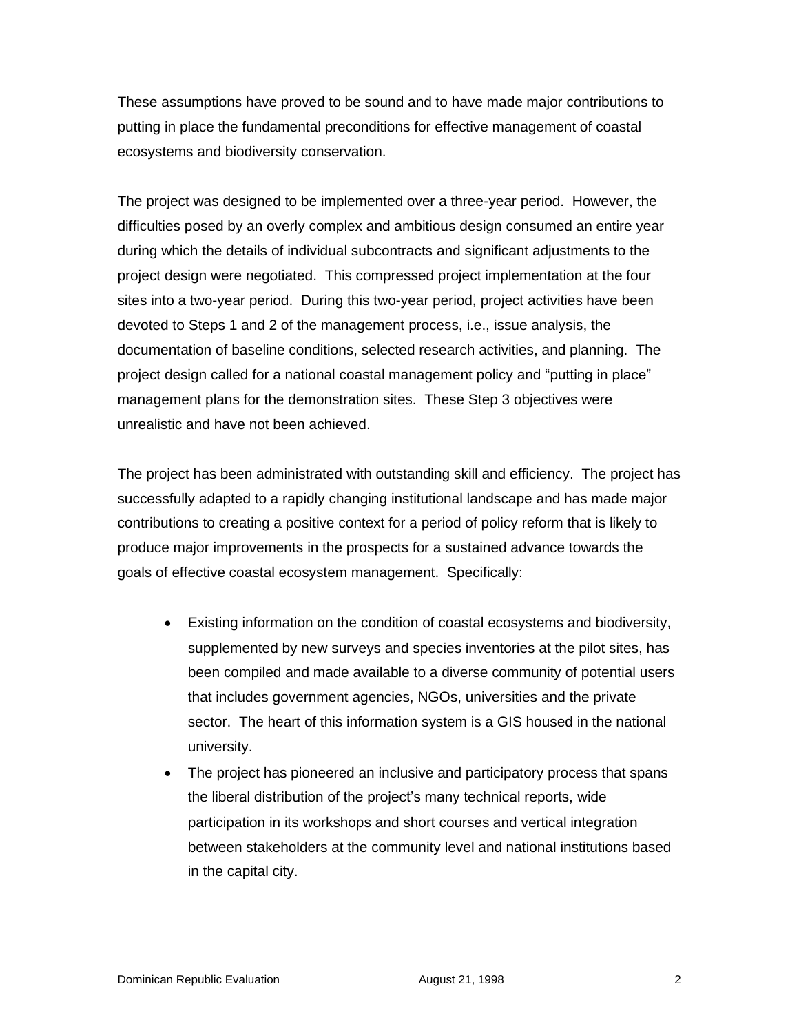These assumptions have proved to be sound and to have made major contributions to putting in place the fundamental preconditions for effective management of coastal ecosystems and biodiversity conservation.

The project was designed to be implemented over a three-year period. However, the difficulties posed by an overly complex and ambitious design consumed an entire year during which the details of individual subcontracts and significant adjustments to the project design were negotiated. This compressed project implementation at the four sites into a two-year period. During this two-year period, project activities have been devoted to Steps 1 and 2 of the management process, i.e., issue analysis, the documentation of baseline conditions, selected research activities, and planning. The project design called for a national coastal management policy and "putting in place" management plans for the demonstration sites. These Step 3 objectives were unrealistic and have not been achieved.

The project has been administrated with outstanding skill and efficiency. The project has successfully adapted to a rapidly changing institutional landscape and has made major contributions to creating a positive context for a period of policy reform that is likely to produce major improvements in the prospects for a sustained advance towards the goals of effective coastal ecosystem management. Specifically:

- Existing information on the condition of coastal ecosystems and biodiversity, supplemented by new surveys and species inventories at the pilot sites, has been compiled and made available to a diverse community of potential users that includes government agencies, NGOs, universities and the private sector. The heart of this information system is a GIS housed in the national university.
- The project has pioneered an inclusive and participatory process that spans the liberal distribution of the project's many technical reports, wide participation in its workshops and short courses and vertical integration between stakeholders at the community level and national institutions based in the capital city.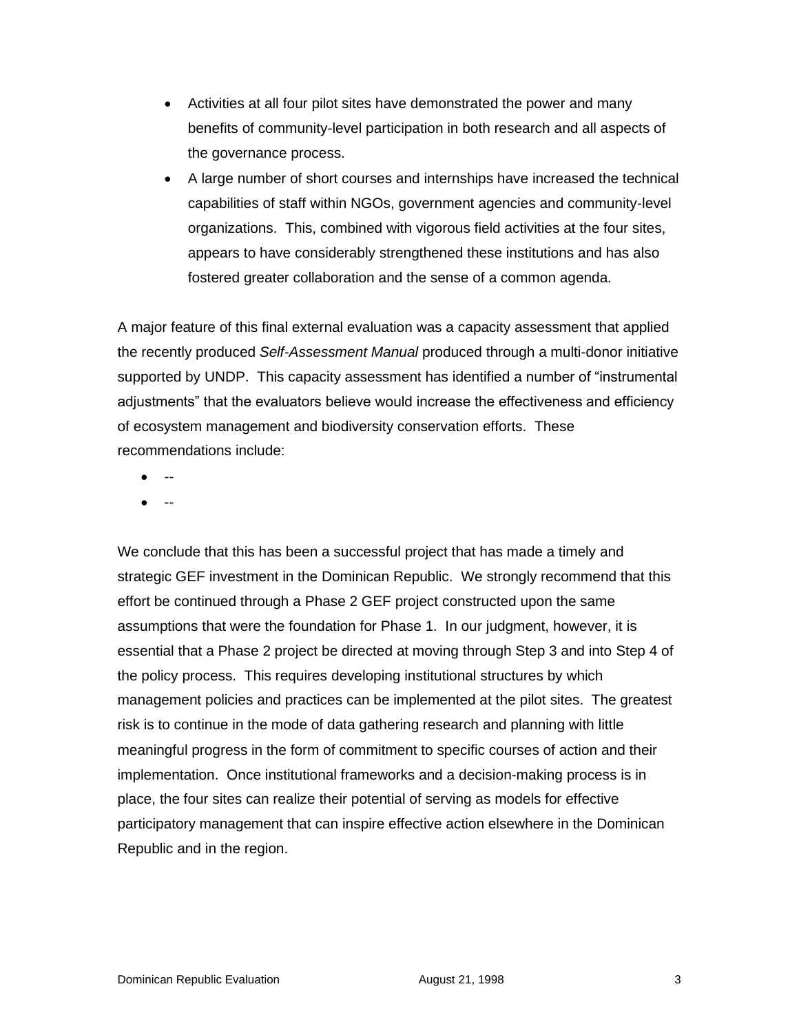- Activities at all four pilot sites have demonstrated the power and many benefits of community-level participation in both research and all aspects of the governance process.
- A large number of short courses and internships have increased the technical capabilities of staff within NGOs, government agencies and community-level organizations. This, combined with vigorous field activities at the four sites, appears to have considerably strengthened these institutions and has also fostered greater collaboration and the sense of a common agenda.

A major feature of this final external evaluation was a capacity assessment that applied the recently produced *Self-Assessment Manual* produced through a multi-donor initiative supported by UNDP. This capacity assessment has identified a number of "instrumental adjustments" that the evaluators believe would increase the effectiveness and efficiency of ecosystem management and biodiversity conservation efforts. These recommendations include:

- $\bullet$
- --

We conclude that this has been a successful project that has made a timely and strategic GEF investment in the Dominican Republic. We strongly recommend that this effort be continued through a Phase 2 GEF project constructed upon the same assumptions that were the foundation for Phase 1. In our judgment, however, it is essential that a Phase 2 project be directed at moving through Step 3 and into Step 4 of the policy process. This requires developing institutional structures by which management policies and practices can be implemented at the pilot sites. The greatest risk is to continue in the mode of data gathering research and planning with little meaningful progress in the form of commitment to specific courses of action and their implementation. Once institutional frameworks and a decision-making process is in place, the four sites can realize their potential of serving as models for effective participatory management that can inspire effective action elsewhere in the Dominican Republic and in the region.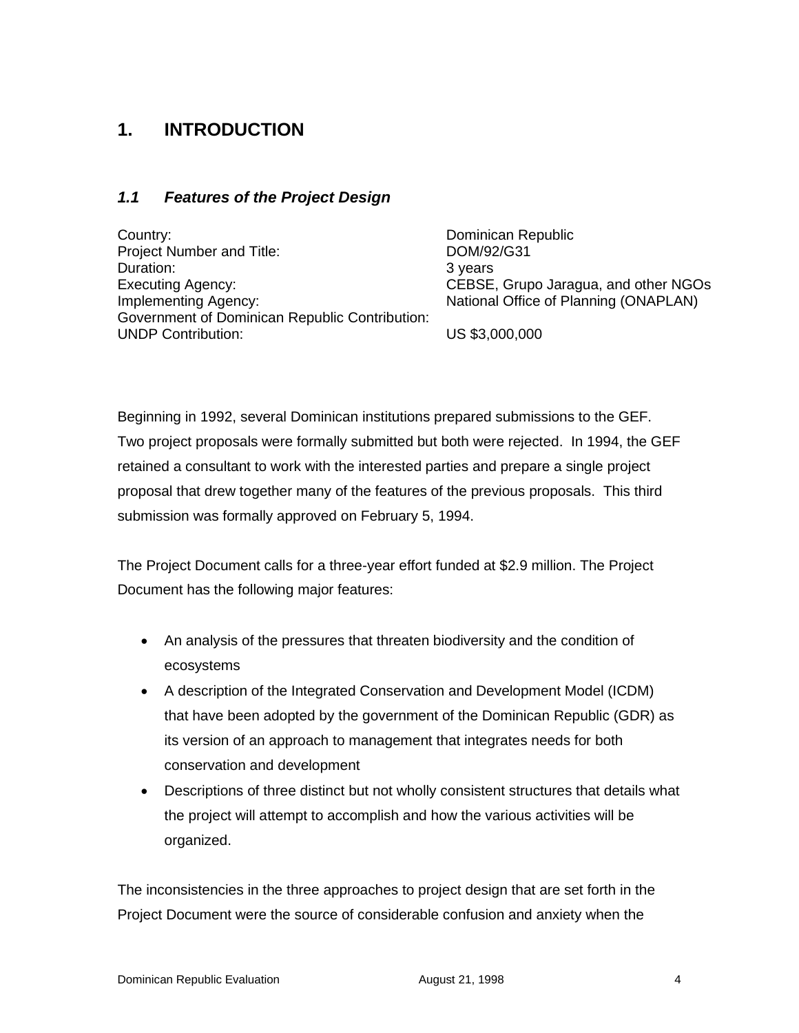# **1. INTRODUCTION**

#### *1.1 Features of the Project Design*

Country: Dominican Republic Project Number and Title: DOM/92/G31 Duration: 3 years Executing Agency: CEBSE, Grupo Jaragua, and other NGOs Implementing Agency:  $National Office of Planning (ONAPLAN)$ Government of Dominican Republic Contribution: UNDP Contribution: US \$3,000,000

Beginning in 1992, several Dominican institutions prepared submissions to the GEF. Two project proposals were formally submitted but both were rejected. In 1994, the GEF retained a consultant to work with the interested parties and prepare a single project proposal that drew together many of the features of the previous proposals. This third submission was formally approved on February 5, 1994.

The Project Document calls for a three-year effort funded at \$2.9 million. The Project Document has the following major features:

- An analysis of the pressures that threaten biodiversity and the condition of ecosystems
- A description of the Integrated Conservation and Development Model (ICDM) that have been adopted by the government of the Dominican Republic (GDR) as its version of an approach to management that integrates needs for both conservation and development
- Descriptions of three distinct but not wholly consistent structures that details what the project will attempt to accomplish and how the various activities will be organized.

The inconsistencies in the three approaches to project design that are set forth in the Project Document were the source of considerable confusion and anxiety when the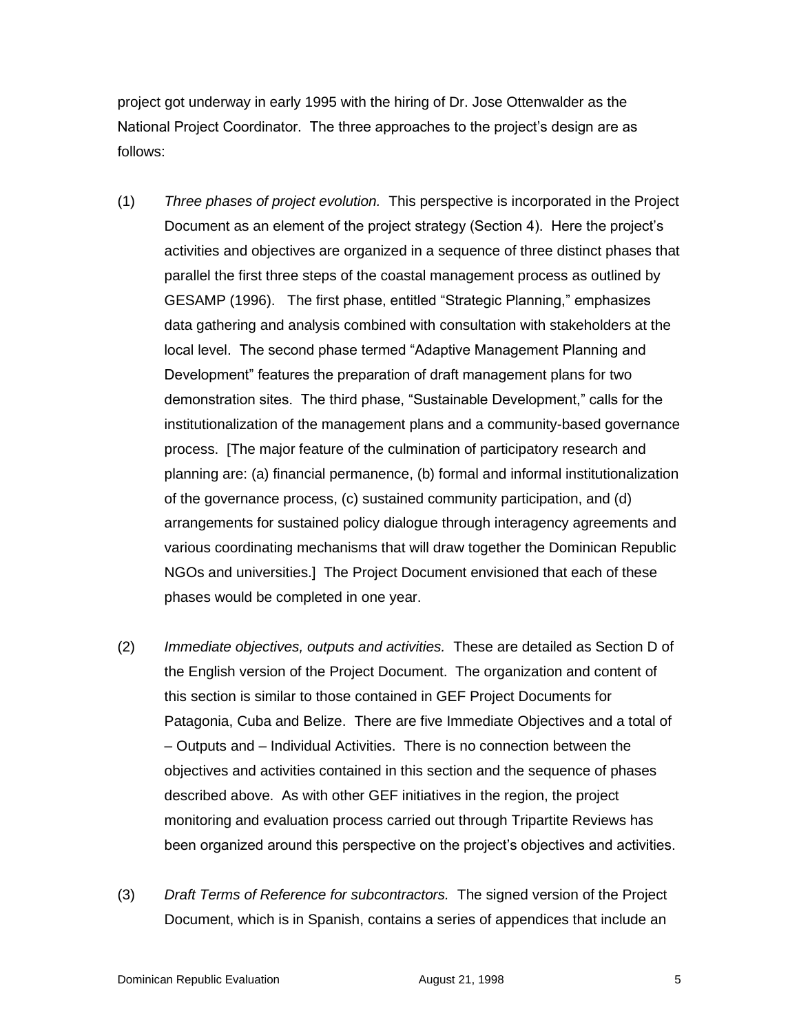project got underway in early 1995 with the hiring of Dr. Jose Ottenwalder as the National Project Coordinator. The three approaches to the project's design are as follows:

- (1) *Three phases of project evolution.* This perspective is incorporated in the Project Document as an element of the project strategy (Section 4). Here the project's activities and objectives are organized in a sequence of three distinct phases that parallel the first three steps of the coastal management process as outlined by GESAMP (1996). The first phase, entitled "Strategic Planning," emphasizes data gathering and analysis combined with consultation with stakeholders at the local level. The second phase termed "Adaptive Management Planning and Development" features the preparation of draft management plans for two demonstration sites. The third phase, "Sustainable Development," calls for the institutionalization of the management plans and a community-based governance process. [The major feature of the culmination of participatory research and planning are: (a) financial permanence, (b) formal and informal institutionalization of the governance process, (c) sustained community participation, and (d) arrangements for sustained policy dialogue through interagency agreements and various coordinating mechanisms that will draw together the Dominican Republic NGOs and universities.] The Project Document envisioned that each of these phases would be completed in one year.
- (2) *Immediate objectives, outputs and activities.* These are detailed as Section D of the English version of the Project Document. The organization and content of this section is similar to those contained in GEF Project Documents for Patagonia, Cuba and Belize. There are five Immediate Objectives and a total of – Outputs and – Individual Activities. There is no connection between the objectives and activities contained in this section and the sequence of phases described above. As with other GEF initiatives in the region, the project monitoring and evaluation process carried out through Tripartite Reviews has been organized around this perspective on the project's objectives and activities.
- (3) *Draft Terms of Reference for subcontractors.* The signed version of the Project Document, which is in Spanish, contains a series of appendices that include an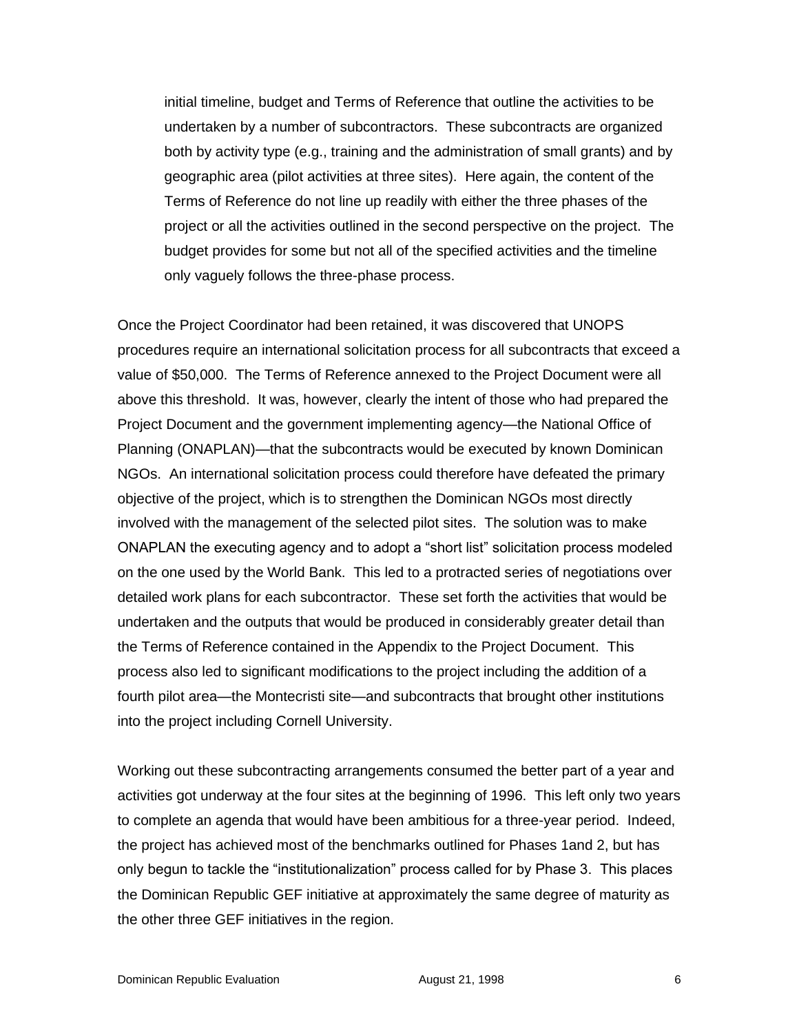initial timeline, budget and Terms of Reference that outline the activities to be undertaken by a number of subcontractors. These subcontracts are organized both by activity type (e.g., training and the administration of small grants) and by geographic area (pilot activities at three sites). Here again, the content of the Terms of Reference do not line up readily with either the three phases of the project or all the activities outlined in the second perspective on the project. The budget provides for some but not all of the specified activities and the timeline only vaguely follows the three-phase process.

Once the Project Coordinator had been retained, it was discovered that UNOPS procedures require an international solicitation process for all subcontracts that exceed a value of \$50,000. The Terms of Reference annexed to the Project Document were all above this threshold. It was, however, clearly the intent of those who had prepared the Project Document and the government implementing agency—the National Office of Planning (ONAPLAN)—that the subcontracts would be executed by known Dominican NGOs. An international solicitation process could therefore have defeated the primary objective of the project, which is to strengthen the Dominican NGOs most directly involved with the management of the selected pilot sites. The solution was to make ONAPLAN the executing agency and to adopt a "short list" solicitation process modeled on the one used by the World Bank. This led to a protracted series of negotiations over detailed work plans for each subcontractor. These set forth the activities that would be undertaken and the outputs that would be produced in considerably greater detail than the Terms of Reference contained in the Appendix to the Project Document. This process also led to significant modifications to the project including the addition of a fourth pilot area—the Montecristi site—and subcontracts that brought other institutions into the project including Cornell University.

Working out these subcontracting arrangements consumed the better part of a year and activities got underway at the four sites at the beginning of 1996. This left only two years to complete an agenda that would have been ambitious for a three-year period. Indeed, the project has achieved most of the benchmarks outlined for Phases 1and 2, but has only begun to tackle the "institutionalization" process called for by Phase 3. This places the Dominican Republic GEF initiative at approximately the same degree of maturity as the other three GEF initiatives in the region.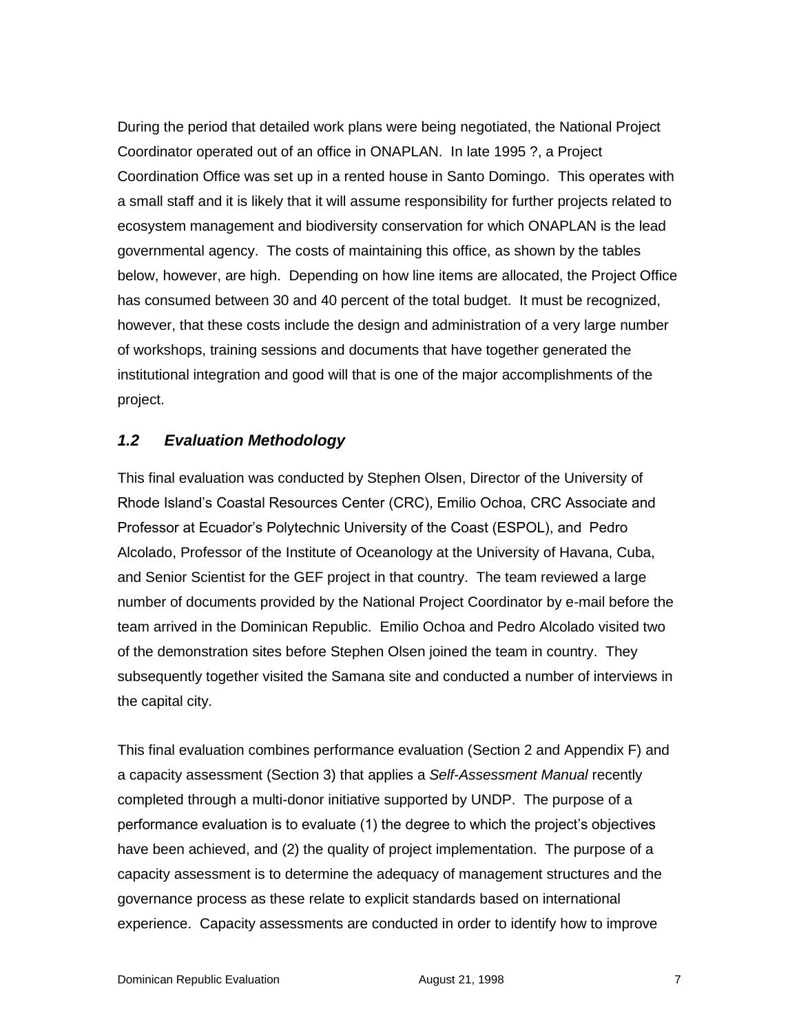During the period that detailed work plans were being negotiated, the National Project Coordinator operated out of an office in ONAPLAN. In late 1995 ?, a Project Coordination Office was set up in a rented house in Santo Domingo. This operates with a small staff and it is likely that it will assume responsibility for further projects related to ecosystem management and biodiversity conservation for which ONAPLAN is the lead governmental agency. The costs of maintaining this office, as shown by the tables below, however, are high. Depending on how line items are allocated, the Project Office has consumed between 30 and 40 percent of the total budget. It must be recognized, however, that these costs include the design and administration of a very large number of workshops, training sessions and documents that have together generated the institutional integration and good will that is one of the major accomplishments of the project.

#### *1.2 Evaluation Methodology*

This final evaluation was conducted by Stephen Olsen, Director of the University of Rhode Island's Coastal Resources Center (CRC), Emilio Ochoa, CRC Associate and Professor at Ecuador's Polytechnic University of the Coast (ESPOL), and Pedro Alcolado, Professor of the Institute of Oceanology at the University of Havana, Cuba, and Senior Scientist for the GEF project in that country. The team reviewed a large number of documents provided by the National Project Coordinator by e-mail before the team arrived in the Dominican Republic. Emilio Ochoa and Pedro Alcolado visited two of the demonstration sites before Stephen Olsen joined the team in country. They subsequently together visited the Samana site and conducted a number of interviews in the capital city.

This final evaluation combines performance evaluation (Section 2 and Appendix F) and a capacity assessment (Section 3) that applies a *Self-Assessment Manual* recently completed through a multi-donor initiative supported by UNDP. The purpose of a performance evaluation is to evaluate (1) the degree to which the project's objectives have been achieved, and (2) the quality of project implementation. The purpose of a capacity assessment is to determine the adequacy of management structures and the governance process as these relate to explicit standards based on international experience. Capacity assessments are conducted in order to identify how to improve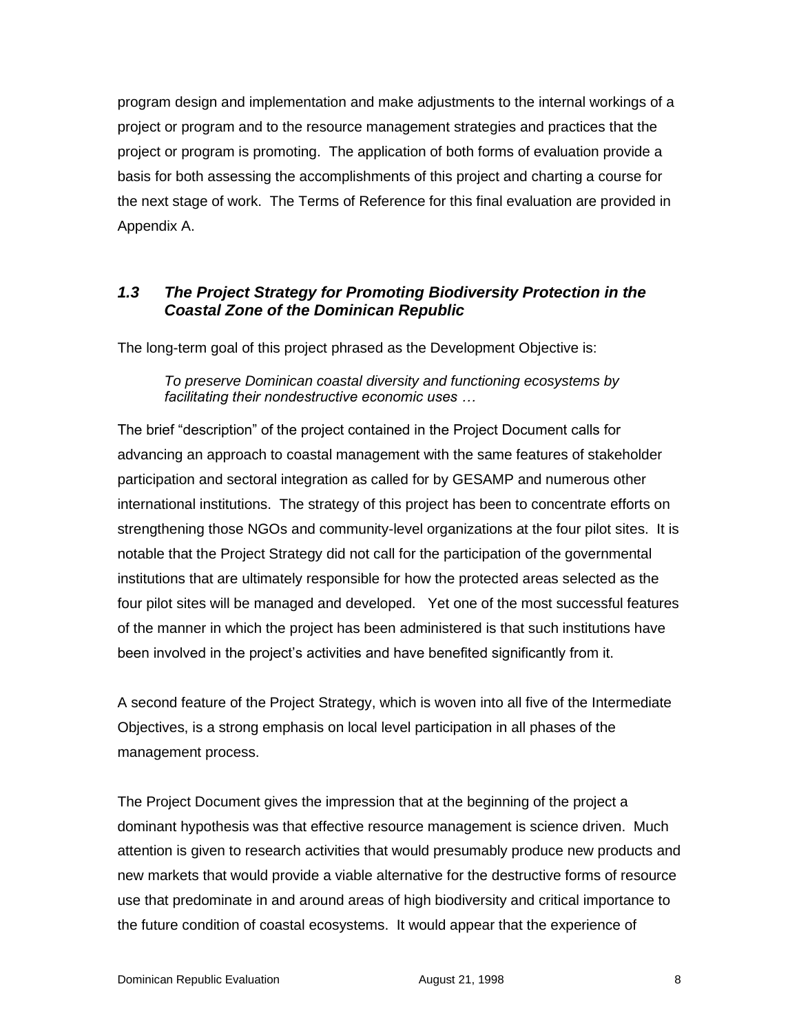program design and implementation and make adjustments to the internal workings of a project or program and to the resource management strategies and practices that the project or program is promoting. The application of both forms of evaluation provide a basis for both assessing the accomplishments of this project and charting a course for the next stage of work. The Terms of Reference for this final evaluation are provided in Appendix A.

# *1.3 The Project Strategy for Promoting Biodiversity Protection in the Coastal Zone of the Dominican Republic*

The long-term goal of this project phrased as the Development Objective is:

*To preserve Dominican coastal diversity and functioning ecosystems by facilitating their nondestructive economic uses …* 

The brief "description" of the project contained in the Project Document calls for advancing an approach to coastal management with the same features of stakeholder participation and sectoral integration as called for by GESAMP and numerous other international institutions. The strategy of this project has been to concentrate efforts on strengthening those NGOs and community-level organizations at the four pilot sites. It is notable that the Project Strategy did not call for the participation of the governmental institutions that are ultimately responsible for how the protected areas selected as the four pilot sites will be managed and developed. Yet one of the most successful features of the manner in which the project has been administered is that such institutions have been involved in the project's activities and have benefited significantly from it.

A second feature of the Project Strategy, which is woven into all five of the Intermediate Objectives, is a strong emphasis on local level participation in all phases of the management process.

The Project Document gives the impression that at the beginning of the project a dominant hypothesis was that effective resource management is science driven. Much attention is given to research activities that would presumably produce new products and new markets that would provide a viable alternative for the destructive forms of resource use that predominate in and around areas of high biodiversity and critical importance to the future condition of coastal ecosystems. It would appear that the experience of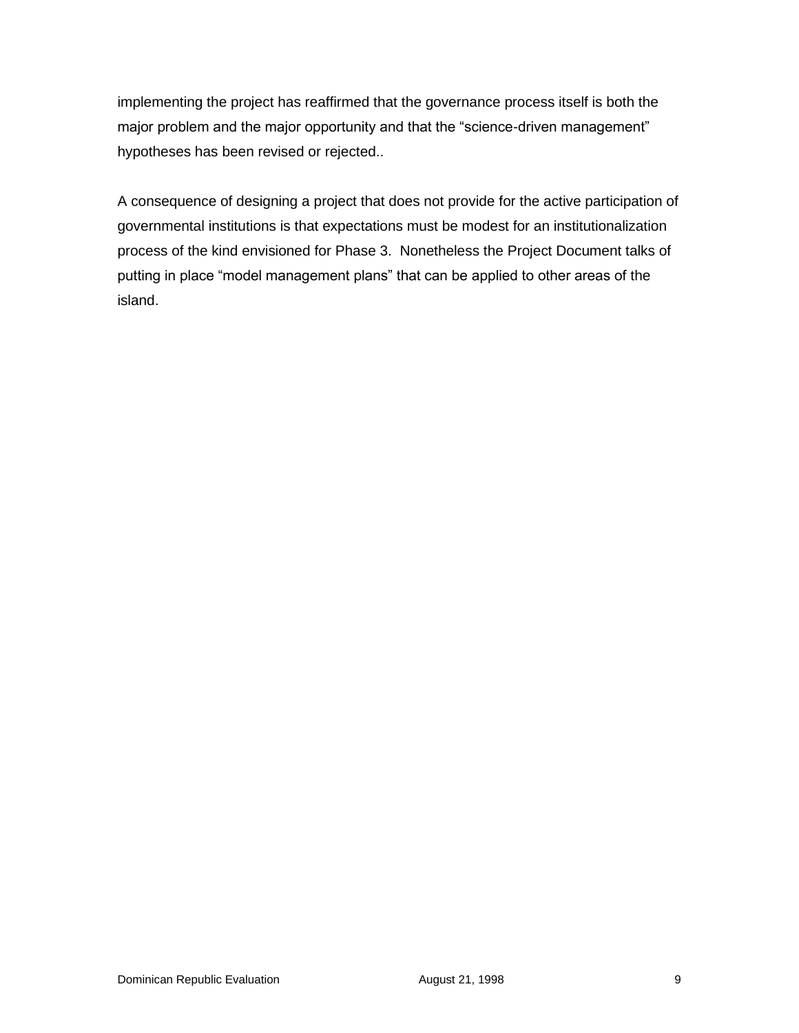implementing the project has reaffirmed that the governance process itself is both the major problem and the major opportunity and that the "science-driven management" hypotheses has been revised or rejected..

A consequence of designing a project that does not provide for the active participation of governmental institutions is that expectations must be modest for an institutionalization process of the kind envisioned for Phase 3. Nonetheless the Project Document talks of putting in place "model management plans" that can be applied to other areas of the island.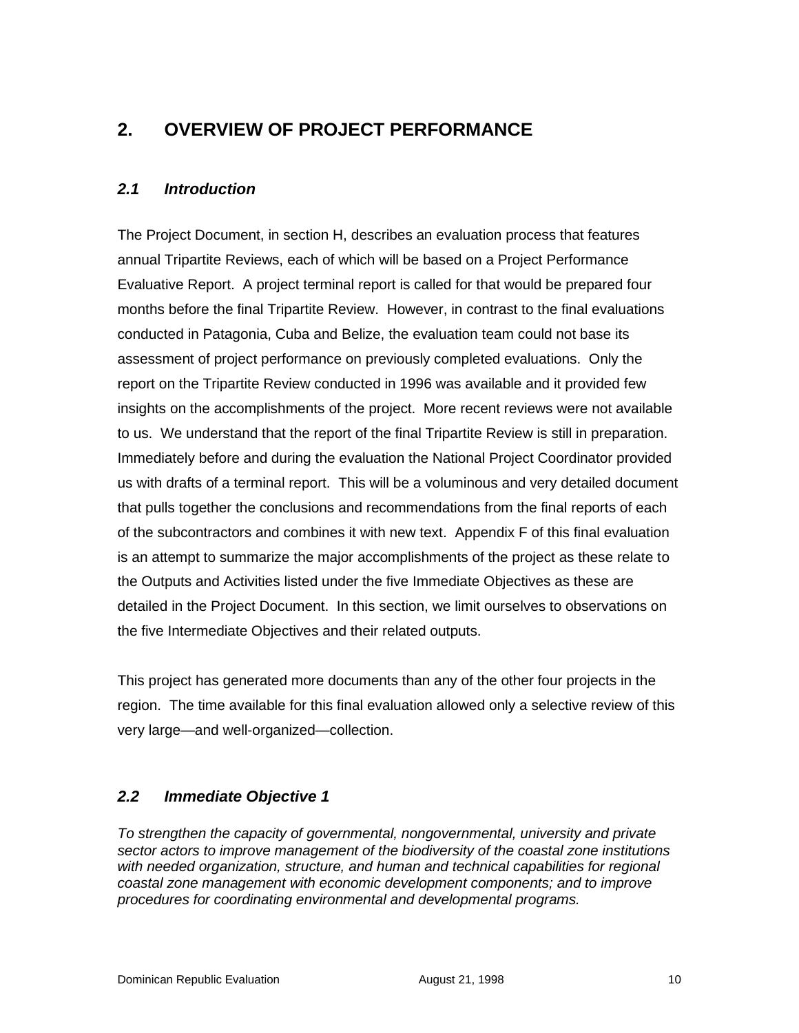# **2. OVERVIEW OF PROJECT PERFORMANCE**

### *2.1 Introduction*

The Project Document, in section H, describes an evaluation process that features annual Tripartite Reviews, each of which will be based on a Project Performance Evaluative Report. A project terminal report is called for that would be prepared four months before the final Tripartite Review. However, in contrast to the final evaluations conducted in Patagonia, Cuba and Belize, the evaluation team could not base its assessment of project performance on previously completed evaluations. Only the report on the Tripartite Review conducted in 1996 was available and it provided few insights on the accomplishments of the project. More recent reviews were not available to us. We understand that the report of the final Tripartite Review is still in preparation. Immediately before and during the evaluation the National Project Coordinator provided us with drafts of a terminal report. This will be a voluminous and very detailed document that pulls together the conclusions and recommendations from the final reports of each of the subcontractors and combines it with new text. Appendix F of this final evaluation is an attempt to summarize the major accomplishments of the project as these relate to the Outputs and Activities listed under the five Immediate Objectives as these are detailed in the Project Document. In this section, we limit ourselves to observations on the five Intermediate Objectives and their related outputs.

This project has generated more documents than any of the other four projects in the region. The time available for this final evaluation allowed only a selective review of this very large—and well-organized—collection.

### *2.2 Immediate Objective 1*

*To strengthen the capacity of governmental, nongovernmental, university and private sector actors to improve management of the biodiversity of the coastal zone institutions with needed organization, structure, and human and technical capabilities for regional coastal zone management with economic development components; and to improve procedures for coordinating environmental and developmental programs.*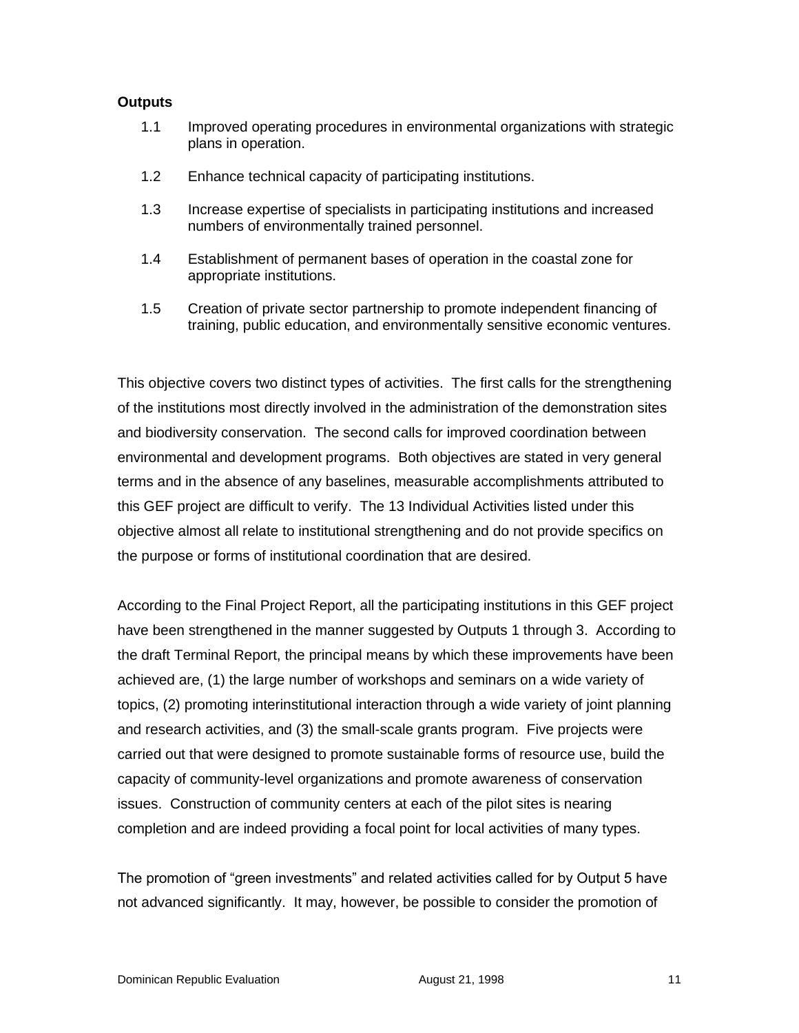#### **Outputs**

- 1.1 Improved operating procedures in environmental organizations with strategic plans in operation.
- 1.2 Enhance technical capacity of participating institutions.
- 1.3 Increase expertise of specialists in participating institutions and increased numbers of environmentally trained personnel.
- 1.4 Establishment of permanent bases of operation in the coastal zone for appropriate institutions.
- 1.5 Creation of private sector partnership to promote independent financing of training, public education, and environmentally sensitive economic ventures.

This objective covers two distinct types of activities. The first calls for the strengthening of the institutions most directly involved in the administration of the demonstration sites and biodiversity conservation. The second calls for improved coordination between environmental and development programs. Both objectives are stated in very general terms and in the absence of any baselines, measurable accomplishments attributed to this GEF project are difficult to verify. The 13 Individual Activities listed under this objective almost all relate to institutional strengthening and do not provide specifics on the purpose or forms of institutional coordination that are desired.

According to the Final Project Report, all the participating institutions in this GEF project have been strengthened in the manner suggested by Outputs 1 through 3. According to the draft Terminal Report, the principal means by which these improvements have been achieved are, (1) the large number of workshops and seminars on a wide variety of topics, (2) promoting interinstitutional interaction through a wide variety of joint planning and research activities, and (3) the small-scale grants program. Five projects were carried out that were designed to promote sustainable forms of resource use, build the capacity of community-level organizations and promote awareness of conservation issues. Construction of community centers at each of the pilot sites is nearing completion and are indeed providing a focal point for local activities of many types.

The promotion of "green investments" and related activities called for by Output 5 have not advanced significantly. It may, however, be possible to consider the promotion of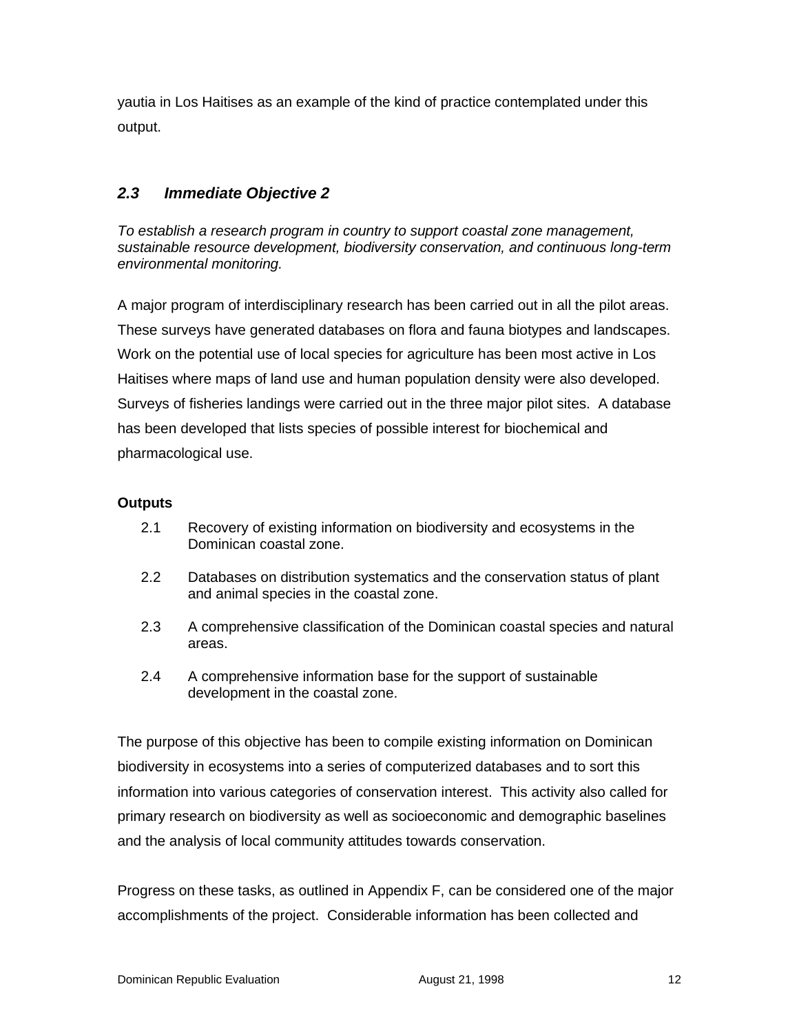yautia in Los Haitises as an example of the kind of practice contemplated under this output.

# *2.3 Immediate Objective 2*

*To establish a research program in country to support coastal zone management, sustainable resource development, biodiversity conservation, and continuous long-term environmental monitoring.*

A major program of interdisciplinary research has been carried out in all the pilot areas. These surveys have generated databases on flora and fauna biotypes and landscapes. Work on the potential use of local species for agriculture has been most active in Los Haitises where maps of land use and human population density were also developed. Surveys of fisheries landings were carried out in the three major pilot sites. A database has been developed that lists species of possible interest for biochemical and pharmacological use.

#### **Outputs**

- 2.1 Recovery of existing information on biodiversity and ecosystems in the Dominican coastal zone.
- 2.2 Databases on distribution systematics and the conservation status of plant and animal species in the coastal zone.
- 2.3 A comprehensive classification of the Dominican coastal species and natural areas.
- 2.4 A comprehensive information base for the support of sustainable development in the coastal zone.

The purpose of this objective has been to compile existing information on Dominican biodiversity in ecosystems into a series of computerized databases and to sort this information into various categories of conservation interest. This activity also called for primary research on biodiversity as well as socioeconomic and demographic baselines and the analysis of local community attitudes towards conservation.

Progress on these tasks, as outlined in Appendix F, can be considered one of the major accomplishments of the project. Considerable information has been collected and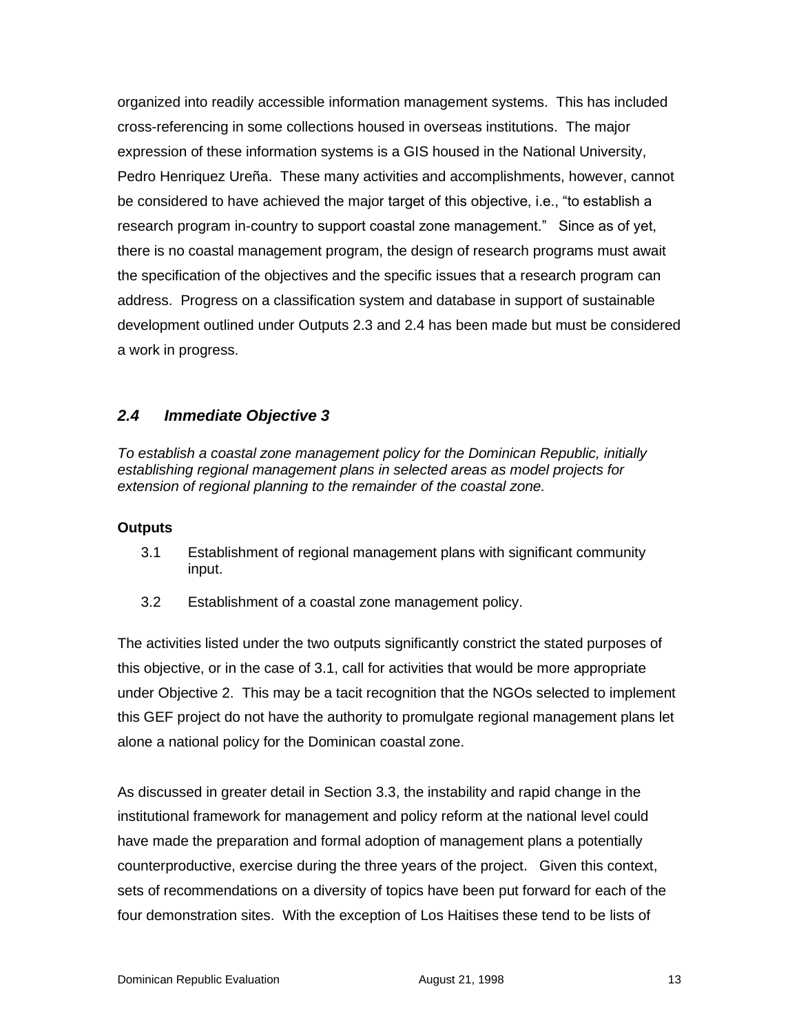organized into readily accessible information management systems. This has included cross-referencing in some collections housed in overseas institutions. The major expression of these information systems is a GIS housed in the National University, Pedro Henriquez Ureña. These many activities and accomplishments, however, cannot be considered to have achieved the major target of this objective, i.e., "to establish a research program in-country to support coastal zone management." Since as of yet, there is no coastal management program, the design of research programs must await the specification of the objectives and the specific issues that a research program can address. Progress on a classification system and database in support of sustainable development outlined under Outputs 2.3 and 2.4 has been made but must be considered a work in progress.

### *2.4 Immediate Objective 3*

*To establish a coastal zone management policy for the Dominican Republic, initially establishing regional management plans in selected areas as model projects for extension of regional planning to the remainder of the coastal zone.*

#### **Outputs**

- 3.1 Establishment of regional management plans with significant community input.
- 3.2 Establishment of a coastal zone management policy.

The activities listed under the two outputs significantly constrict the stated purposes of this objective, or in the case of 3.1, call for activities that would be more appropriate under Objective 2. This may be a tacit recognition that the NGOs selected to implement this GEF project do not have the authority to promulgate regional management plans let alone a national policy for the Dominican coastal zone.

As discussed in greater detail in Section 3.3, the instability and rapid change in the institutional framework for management and policy reform at the national level could have made the preparation and formal adoption of management plans a potentially counterproductive, exercise during the three years of the project. Given this context, sets of recommendations on a diversity of topics have been put forward for each of the four demonstration sites. With the exception of Los Haitises these tend to be lists of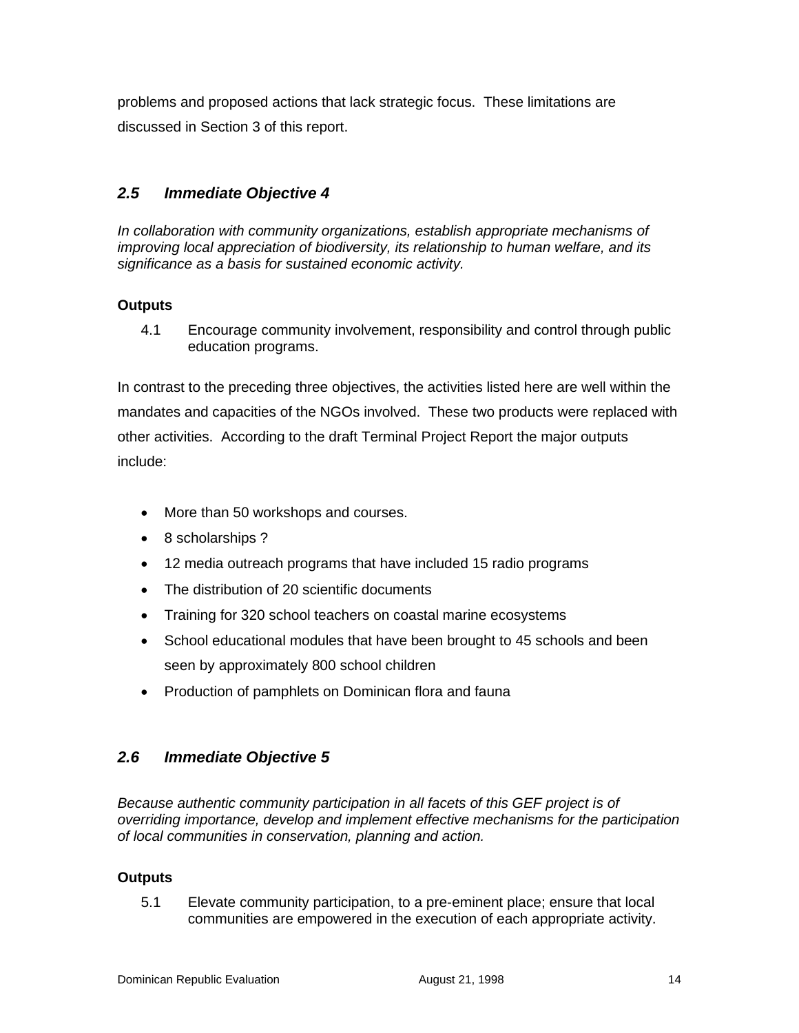problems and proposed actions that lack strategic focus. These limitations are discussed in Section 3 of this report.

# *2.5 Immediate Objective 4*

*In collaboration with community organizations, establish appropriate mechanisms of improving local appreciation of biodiversity, its relationship to human welfare, and its significance as a basis for sustained economic activity.*

#### **Outputs**

4.1 Encourage community involvement, responsibility and control through public education programs.

In contrast to the preceding three objectives, the activities listed here are well within the mandates and capacities of the NGOs involved. These two products were replaced with other activities. According to the draft Terminal Project Report the major outputs include:

- More than 50 workshops and courses.
- 8 scholarships ?
- 12 media outreach programs that have included 15 radio programs
- The distribution of 20 scientific documents
- Training for 320 school teachers on coastal marine ecosystems
- School educational modules that have been brought to 45 schools and been seen by approximately 800 school children
- Production of pamphlets on Dominican flora and fauna

### *2.6 Immediate Objective 5*

*Because authentic community participation in all facets of this GEF project is of overriding importance, develop and implement effective mechanisms for the participation of local communities in conservation, planning and action.*

#### **Outputs**

5.1 Elevate community participation, to a pre-eminent place; ensure that local communities are empowered in the execution of each appropriate activity.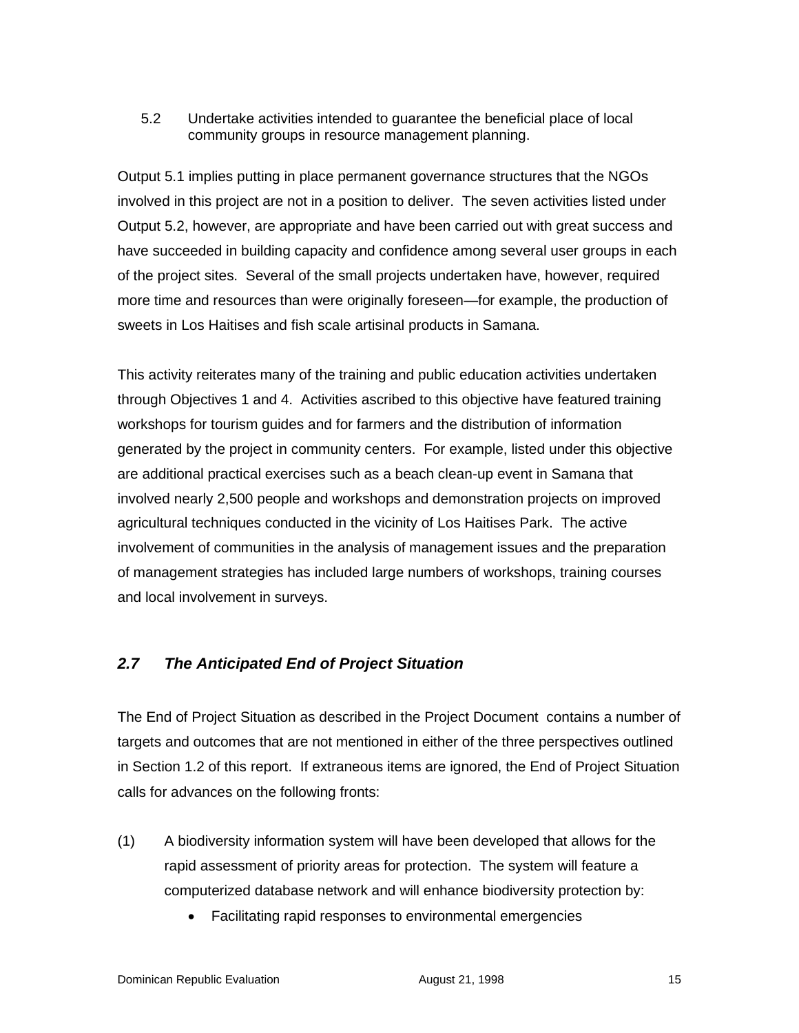#### 5.2 Undertake activities intended to guarantee the beneficial place of local community groups in resource management planning.

Output 5.1 implies putting in place permanent governance structures that the NGOs involved in this project are not in a position to deliver. The seven activities listed under Output 5.2, however, are appropriate and have been carried out with great success and have succeeded in building capacity and confidence among several user groups in each of the project sites. Several of the small projects undertaken have, however, required more time and resources than were originally foreseen—for example, the production of sweets in Los Haitises and fish scale artisinal products in Samana.

This activity reiterates many of the training and public education activities undertaken through Objectives 1 and 4. Activities ascribed to this objective have featured training workshops for tourism guides and for farmers and the distribution of information generated by the project in community centers. For example, listed under this objective are additional practical exercises such as a beach clean-up event in Samana that involved nearly 2,500 people and workshops and demonstration projects on improved agricultural techniques conducted in the vicinity of Los Haitises Park. The active involvement of communities in the analysis of management issues and the preparation of management strategies has included large numbers of workshops, training courses and local involvement in surveys.

# *2.7 The Anticipated End of Project Situation*

The End of Project Situation as described in the Project Document contains a number of targets and outcomes that are not mentioned in either of the three perspectives outlined in Section 1.2 of this report. If extraneous items are ignored, the End of Project Situation calls for advances on the following fronts:

- (1) A biodiversity information system will have been developed that allows for the rapid assessment of priority areas for protection. The system will feature a computerized database network and will enhance biodiversity protection by:
	- Facilitating rapid responses to environmental emergencies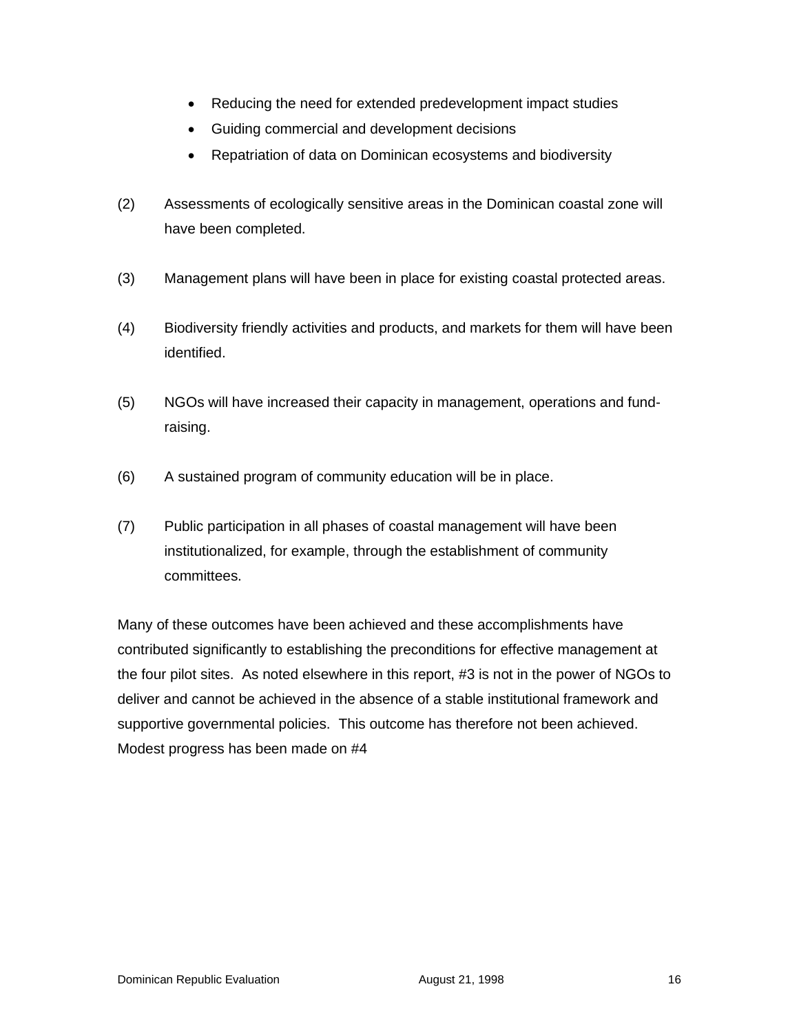- Reducing the need for extended predevelopment impact studies
- Guiding commercial and development decisions
- Repatriation of data on Dominican ecosystems and biodiversity
- (2) Assessments of ecologically sensitive areas in the Dominican coastal zone will have been completed.
- (3) Management plans will have been in place for existing coastal protected areas.
- (4) Biodiversity friendly activities and products, and markets for them will have been identified.
- (5) NGOs will have increased their capacity in management, operations and fundraising.
- (6) A sustained program of community education will be in place.
- (7) Public participation in all phases of coastal management will have been institutionalized, for example, through the establishment of community committees.

Many of these outcomes have been achieved and these accomplishments have contributed significantly to establishing the preconditions for effective management at the four pilot sites. As noted elsewhere in this report, #3 is not in the power of NGOs to deliver and cannot be achieved in the absence of a stable institutional framework and supportive governmental policies. This outcome has therefore not been achieved. Modest progress has been made on #4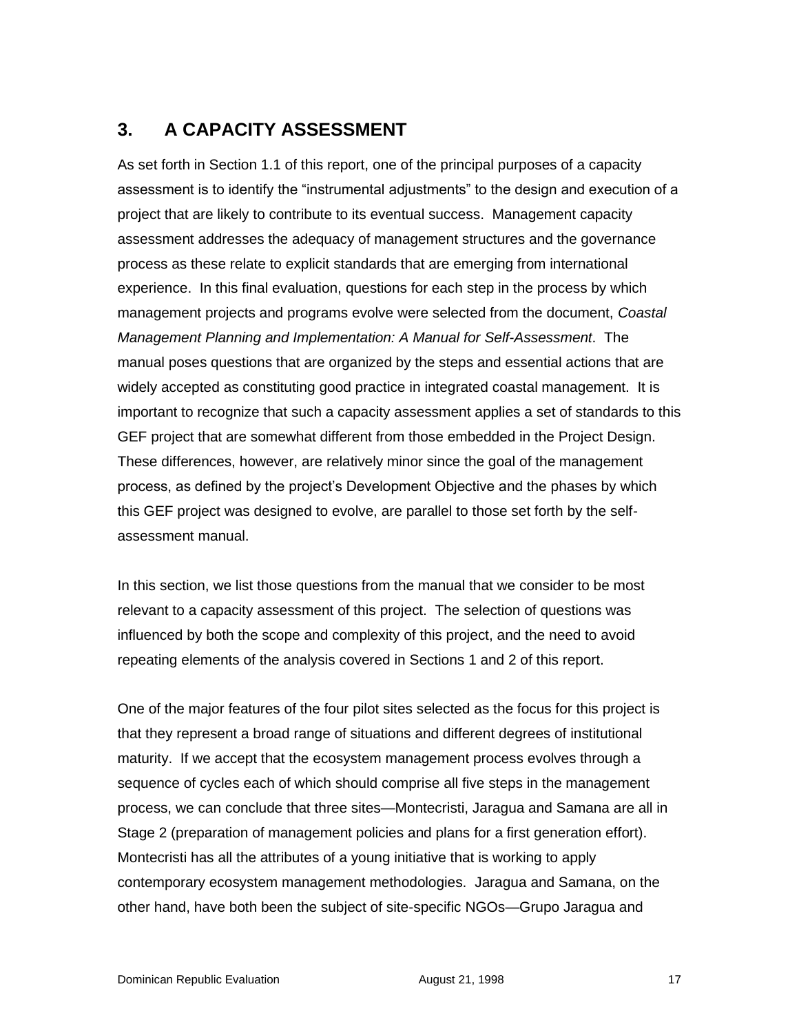# **3. A CAPACITY ASSESSMENT**

As set forth in Section 1.1 of this report, one of the principal purposes of a capacity assessment is to identify the "instrumental adjustments" to the design and execution of a project that are likely to contribute to its eventual success. Management capacity assessment addresses the adequacy of management structures and the governance process as these relate to explicit standards that are emerging from international experience. In this final evaluation, questions for each step in the process by which management projects and programs evolve were selected from the document, *Coastal Management Planning and Implementation: A Manual for Self-Assessment*. The manual poses questions that are organized by the steps and essential actions that are widely accepted as constituting good practice in integrated coastal management. It is important to recognize that such a capacity assessment applies a set of standards to this GEF project that are somewhat different from those embedded in the Project Design. These differences, however, are relatively minor since the goal of the management process, as defined by the project's Development Objective and the phases by which this GEF project was designed to evolve, are parallel to those set forth by the selfassessment manual.

In this section, we list those questions from the manual that we consider to be most relevant to a capacity assessment of this project. The selection of questions was influenced by both the scope and complexity of this project, and the need to avoid repeating elements of the analysis covered in Sections 1 and 2 of this report.

One of the major features of the four pilot sites selected as the focus for this project is that they represent a broad range of situations and different degrees of institutional maturity. If we accept that the ecosystem management process evolves through a sequence of cycles each of which should comprise all five steps in the management process, we can conclude that three sites—Montecristi, Jaragua and Samana are all in Stage 2 (preparation of management policies and plans for a first generation effort). Montecristi has all the attributes of a young initiative that is working to apply contemporary ecosystem management methodologies. Jaragua and Samana, on the other hand, have both been the subject of site-specific NGOs—Grupo Jaragua and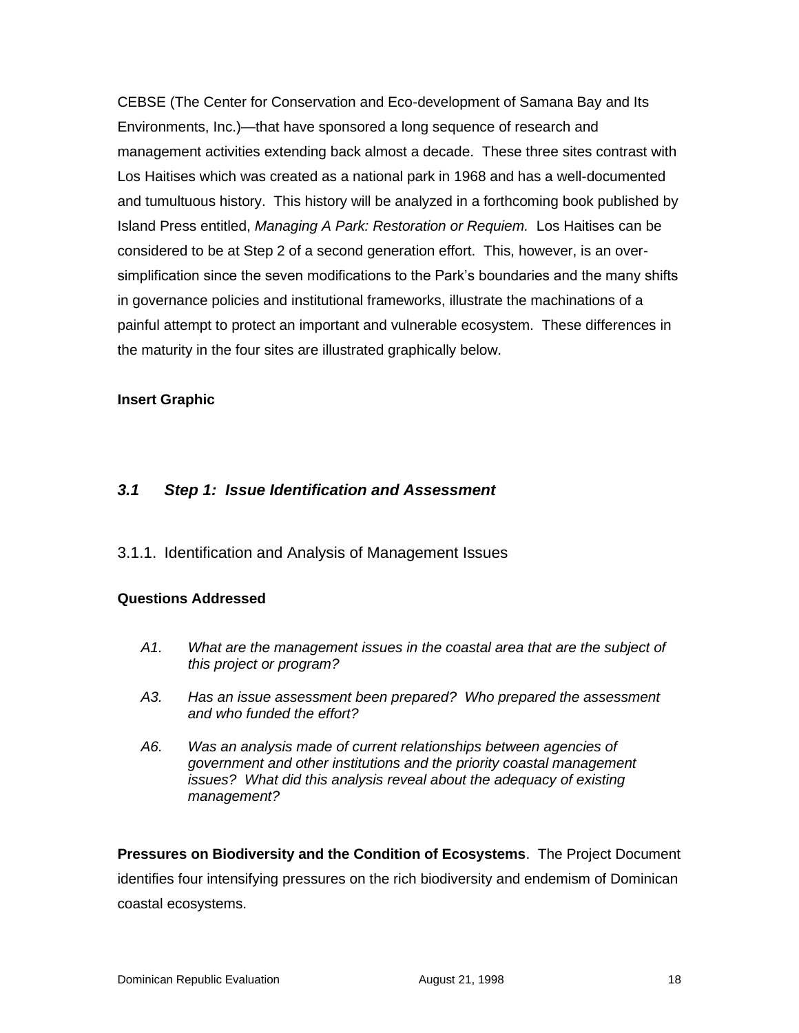CEBSE (The Center for Conservation and Eco-development of Samana Bay and Its Environments, Inc.)—that have sponsored a long sequence of research and management activities extending back almost a decade. These three sites contrast with Los Haitises which was created as a national park in 1968 and has a well-documented and tumultuous history. This history will be analyzed in a forthcoming book published by Island Press entitled, *Managing A Park: Restoration or Requiem.* Los Haitises can be considered to be at Step 2 of a second generation effort. This, however, is an oversimplification since the seven modifications to the Park's boundaries and the many shifts in governance policies and institutional frameworks, illustrate the machinations of a painful attempt to protect an important and vulnerable ecosystem. These differences in the maturity in the four sites are illustrated graphically below.

#### **Insert Graphic**

### *3.1 Step 1: Issue Identification and Assessment*

3.1.1. Identification and Analysis of Management Issues

#### **Questions Addressed**

- *A1. What are the management issues in the coastal area that are the subject of this project or program?*
- *A3. Has an issue assessment been prepared? Who prepared the assessment and who funded the effort?*
- *A6. Was an analysis made of current relationships between agencies of government and other institutions and the priority coastal management issues? What did this analysis reveal about the adequacy of existing management?*

**Pressures on Biodiversity and the Condition of Ecosystems**. The Project Document identifies four intensifying pressures on the rich biodiversity and endemism of Dominican coastal ecosystems.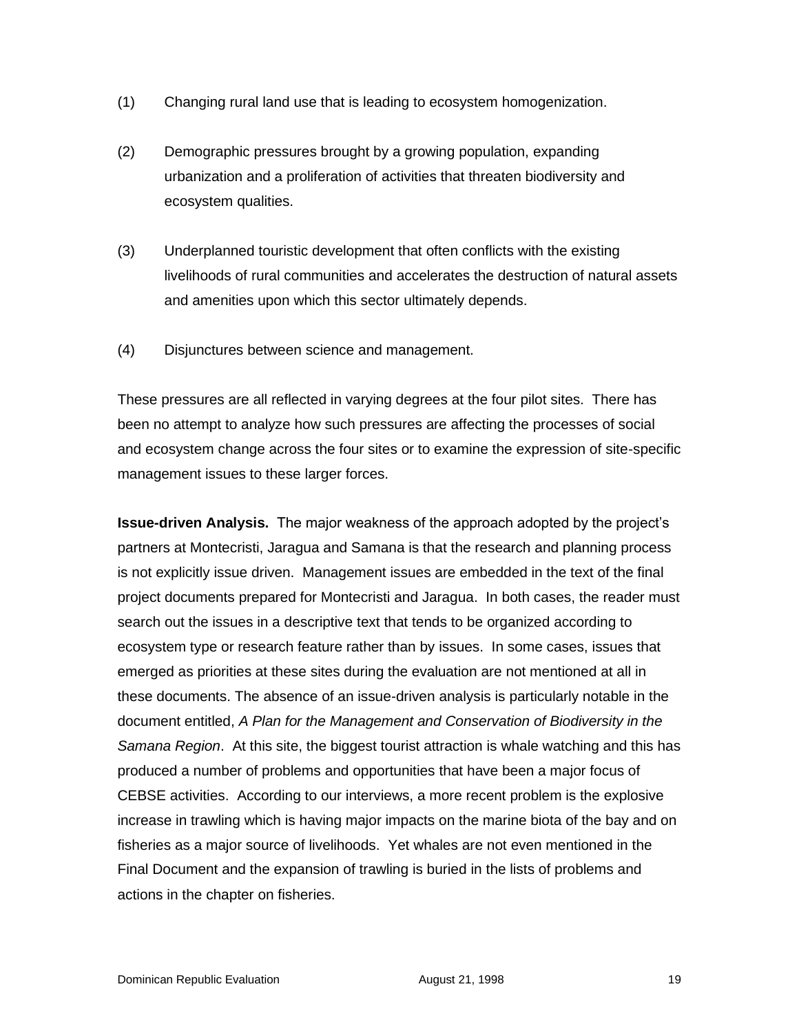- (1) Changing rural land use that is leading to ecosystem homogenization.
- (2) Demographic pressures brought by a growing population, expanding urbanization and a proliferation of activities that threaten biodiversity and ecosystem qualities.
- (3) Underplanned touristic development that often conflicts with the existing livelihoods of rural communities and accelerates the destruction of natural assets and amenities upon which this sector ultimately depends.
- (4) Disjunctures between science and management.

These pressures are all reflected in varying degrees at the four pilot sites. There has been no attempt to analyze how such pressures are affecting the processes of social and ecosystem change across the four sites or to examine the expression of site-specific management issues to these larger forces.

**Issue-driven Analysis.** The major weakness of the approach adopted by the project's partners at Montecristi, Jaragua and Samana is that the research and planning process is not explicitly issue driven. Management issues are embedded in the text of the final project documents prepared for Montecristi and Jaragua. In both cases, the reader must search out the issues in a descriptive text that tends to be organized according to ecosystem type or research feature rather than by issues. In some cases, issues that emerged as priorities at these sites during the evaluation are not mentioned at all in these documents. The absence of an issue-driven analysis is particularly notable in the document entitled, *A Plan for the Management and Conservation of Biodiversity in the Samana Region*. At this site, the biggest tourist attraction is whale watching and this has produced a number of problems and opportunities that have been a major focus of CEBSE activities. According to our interviews, a more recent problem is the explosive increase in trawling which is having major impacts on the marine biota of the bay and on fisheries as a major source of livelihoods. Yet whales are not even mentioned in the Final Document and the expansion of trawling is buried in the lists of problems and actions in the chapter on fisheries.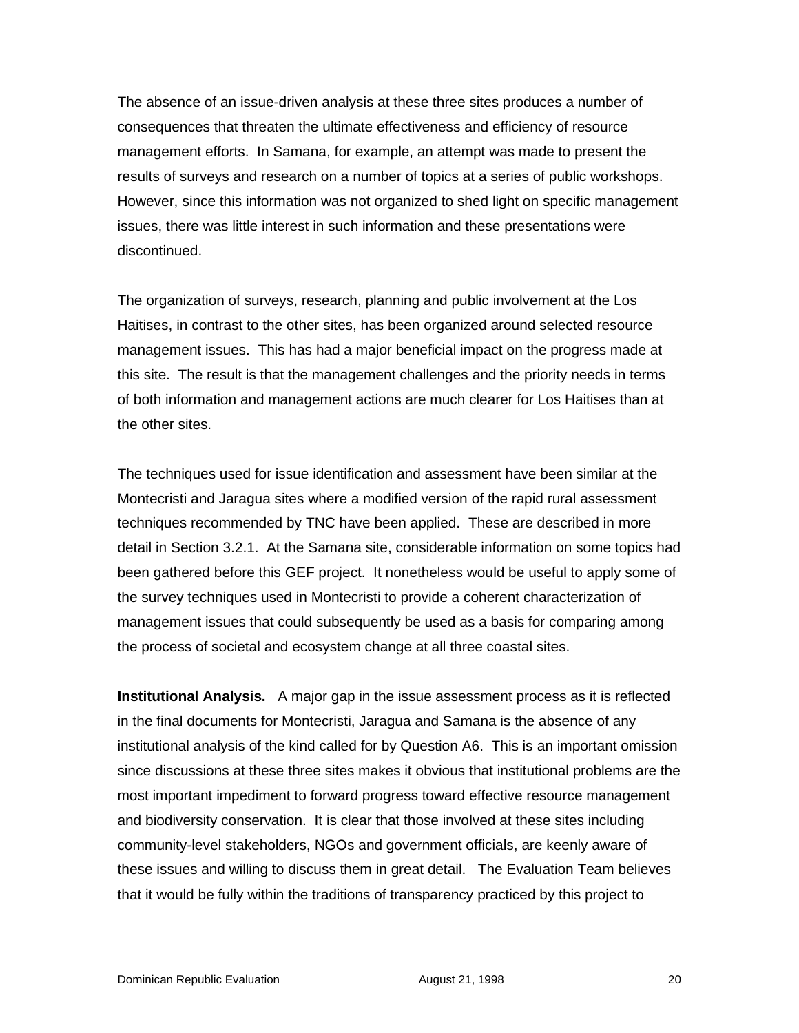The absence of an issue-driven analysis at these three sites produces a number of consequences that threaten the ultimate effectiveness and efficiency of resource management efforts. In Samana, for example, an attempt was made to present the results of surveys and research on a number of topics at a series of public workshops. However, since this information was not organized to shed light on specific management issues, there was little interest in such information and these presentations were discontinued.

The organization of surveys, research, planning and public involvement at the Los Haitises, in contrast to the other sites, has been organized around selected resource management issues. This has had a major beneficial impact on the progress made at this site. The result is that the management challenges and the priority needs in terms of both information and management actions are much clearer for Los Haitises than at the other sites.

The techniques used for issue identification and assessment have been similar at the Montecristi and Jaragua sites where a modified version of the rapid rural assessment techniques recommended by TNC have been applied. These are described in more detail in Section 3.2.1. At the Samana site, considerable information on some topics had been gathered before this GEF project. It nonetheless would be useful to apply some of the survey techniques used in Montecristi to provide a coherent characterization of management issues that could subsequently be used as a basis for comparing among the process of societal and ecosystem change at all three coastal sites.

**Institutional Analysis.** A major gap in the issue assessment process as it is reflected in the final documents for Montecristi, Jaragua and Samana is the absence of any institutional analysis of the kind called for by Question A6. This is an important omission since discussions at these three sites makes it obvious that institutional problems are the most important impediment to forward progress toward effective resource management and biodiversity conservation. It is clear that those involved at these sites including community-level stakeholders, NGOs and government officials, are keenly aware of these issues and willing to discuss them in great detail. The Evaluation Team believes that it would be fully within the traditions of transparency practiced by this project to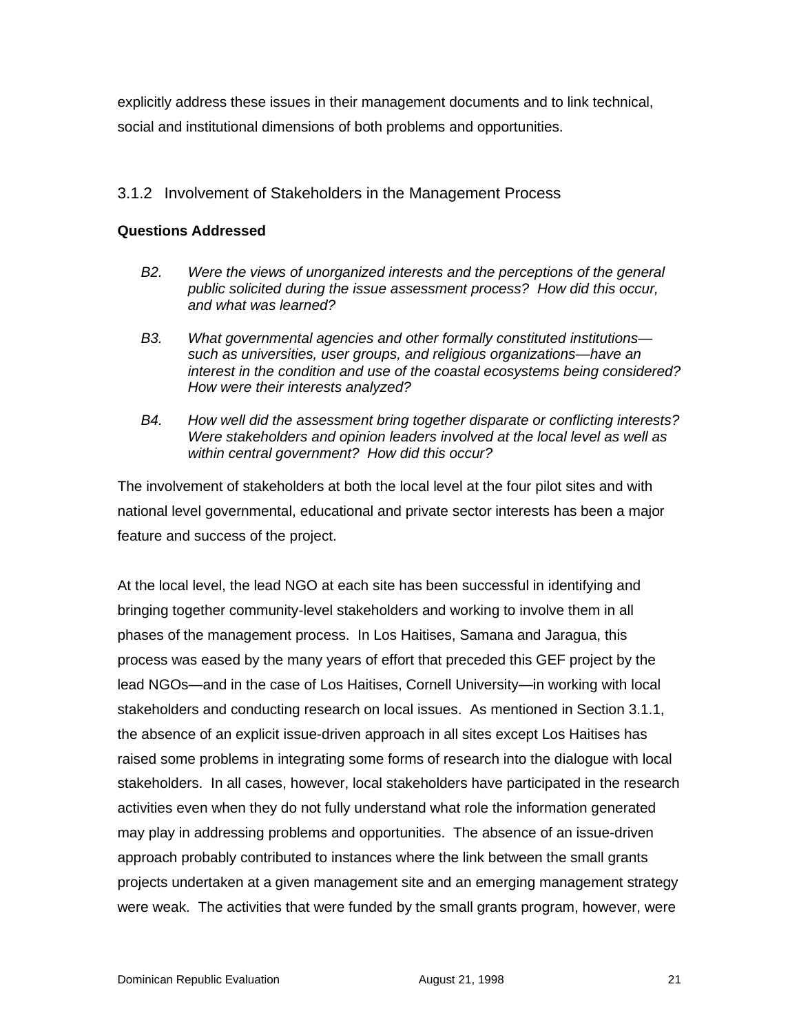explicitly address these issues in their management documents and to link technical, social and institutional dimensions of both problems and opportunities.

#### 3.1.2 Involvement of Stakeholders in the Management Process

#### **Questions Addressed**

- *B2. Were the views of unorganized interests and the perceptions of the general public solicited during the issue assessment process? How did this occur, and what was learned?*
- *B3. What governmental agencies and other formally constituted institutions such as universities, user groups, and religious organizations—have an interest in the condition and use of the coastal ecosystems being considered? How were their interests analyzed?*
- *B4. How well did the assessment bring together disparate or conflicting interests? Were stakeholders and opinion leaders involved at the local level as well as within central government? How did this occur?*

The involvement of stakeholders at both the local level at the four pilot sites and with national level governmental, educational and private sector interests has been a major feature and success of the project.

At the local level, the lead NGO at each site has been successful in identifying and bringing together community-level stakeholders and working to involve them in all phases of the management process. In Los Haitises, Samana and Jaragua, this process was eased by the many years of effort that preceded this GEF project by the lead NGOs—and in the case of Los Haitises, Cornell University—in working with local stakeholders and conducting research on local issues. As mentioned in Section 3.1.1, the absence of an explicit issue-driven approach in all sites except Los Haitises has raised some problems in integrating some forms of research into the dialogue with local stakeholders. In all cases, however, local stakeholders have participated in the research activities even when they do not fully understand what role the information generated may play in addressing problems and opportunities. The absence of an issue-driven approach probably contributed to instances where the link between the small grants projects undertaken at a given management site and an emerging management strategy were weak. The activities that were funded by the small grants program, however, were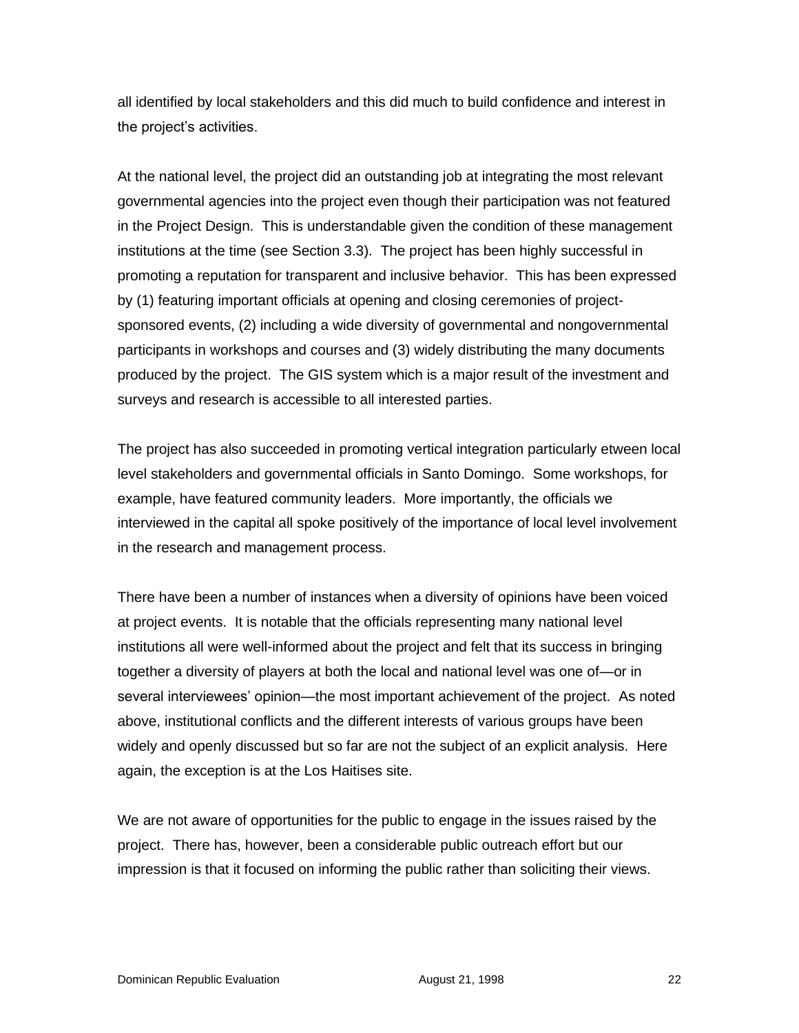all identified by local stakeholders and this did much to build confidence and interest in the project's activities.

At the national level, the project did an outstanding job at integrating the most relevant governmental agencies into the project even though their participation was not featured in the Project Design. This is understandable given the condition of these management institutions at the time (see Section 3.3). The project has been highly successful in promoting a reputation for transparent and inclusive behavior. This has been expressed by (1) featuring important officials at opening and closing ceremonies of projectsponsored events, (2) including a wide diversity of governmental and nongovernmental participants in workshops and courses and (3) widely distributing the many documents produced by the project. The GIS system which is a major result of the investment and surveys and research is accessible to all interested parties.

The project has also succeeded in promoting vertical integration particularly etween local level stakeholders and governmental officials in Santo Domingo. Some workshops, for example, have featured community leaders. More importantly, the officials we interviewed in the capital all spoke positively of the importance of local level involvement in the research and management process.

There have been a number of instances when a diversity of opinions have been voiced at project events. It is notable that the officials representing many national level institutions all were well-informed about the project and felt that its success in bringing together a diversity of players at both the local and national level was one of—or in several interviewees' opinion—the most important achievement of the project. As noted above, institutional conflicts and the different interests of various groups have been widely and openly discussed but so far are not the subject of an explicit analysis. Here again, the exception is at the Los Haitises site.

We are not aware of opportunities for the public to engage in the issues raised by the project. There has, however, been a considerable public outreach effort but our impression is that it focused on informing the public rather than soliciting their views.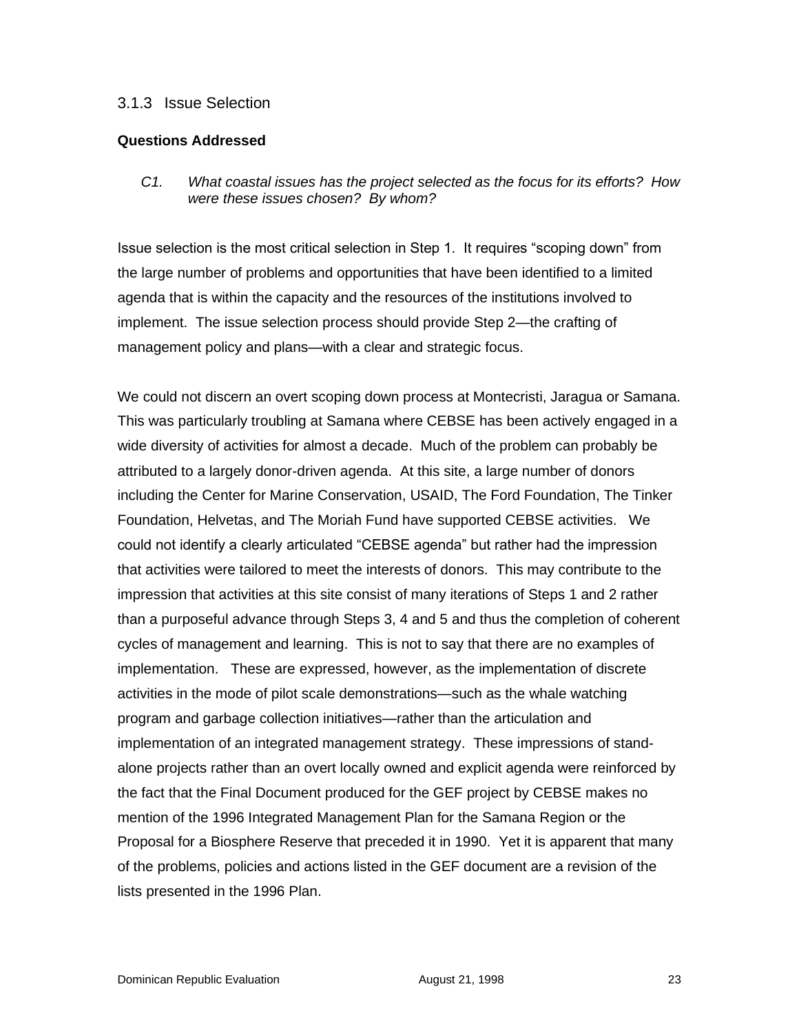#### 3.1.3 Issue Selection

#### **Questions Addressed**

*C1. What coastal issues has the project selected as the focus for its efforts? How were these issues chosen? By whom?*

Issue selection is the most critical selection in Step 1. It requires "scoping down" from the large number of problems and opportunities that have been identified to a limited agenda that is within the capacity and the resources of the institutions involved to implement. The issue selection process should provide Step 2—the crafting of management policy and plans—with a clear and strategic focus.

We could not discern an overt scoping down process at Montecristi, Jaragua or Samana. This was particularly troubling at Samana where CEBSE has been actively engaged in a wide diversity of activities for almost a decade. Much of the problem can probably be attributed to a largely donor-driven agenda. At this site, a large number of donors including the Center for Marine Conservation, USAID, The Ford Foundation, The Tinker Foundation, Helvetas, and The Moriah Fund have supported CEBSE activities. We could not identify a clearly articulated "CEBSE agenda" but rather had the impression that activities were tailored to meet the interests of donors. This may contribute to the impression that activities at this site consist of many iterations of Steps 1 and 2 rather than a purposeful advance through Steps 3, 4 and 5 and thus the completion of coherent cycles of management and learning. This is not to say that there are no examples of implementation. These are expressed, however, as the implementation of discrete activities in the mode of pilot scale demonstrations—such as the whale watching program and garbage collection initiatives—rather than the articulation and implementation of an integrated management strategy. These impressions of standalone projects rather than an overt locally owned and explicit agenda were reinforced by the fact that the Final Document produced for the GEF project by CEBSE makes no mention of the 1996 Integrated Management Plan for the Samana Region or the Proposal for a Biosphere Reserve that preceded it in 1990. Yet it is apparent that many of the problems, policies and actions listed in the GEF document are a revision of the lists presented in the 1996 Plan.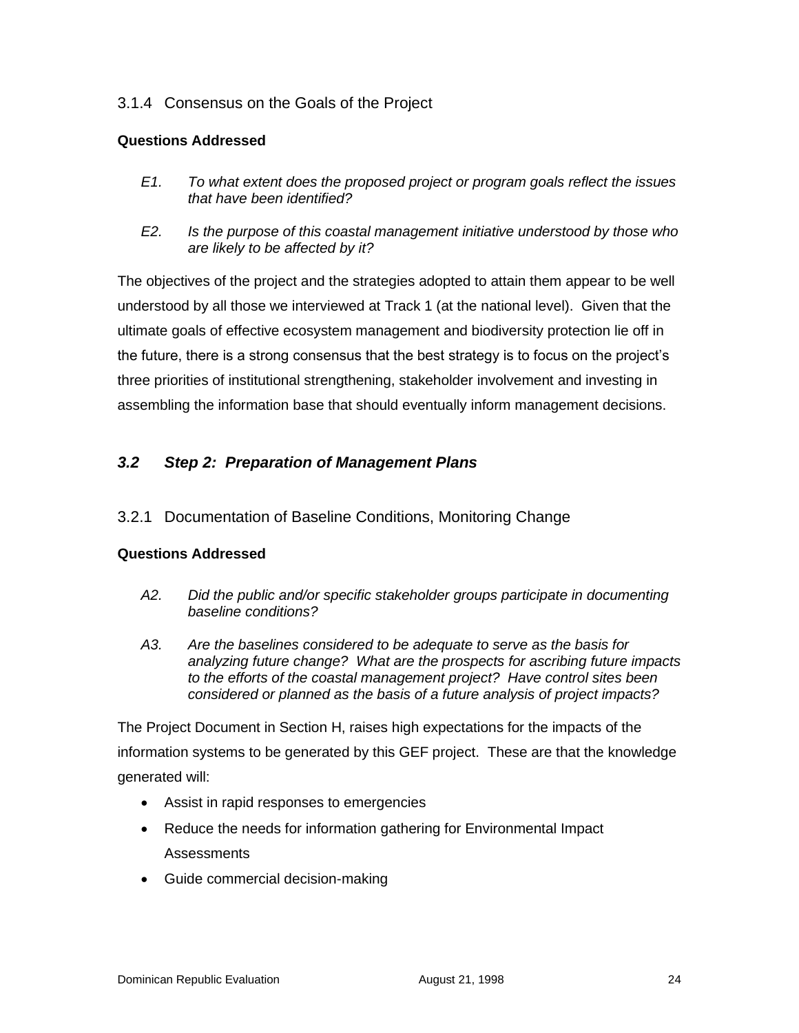### 3.1.4 Consensus on the Goals of the Project

#### **Questions Addressed**

- *E1. To what extent does the proposed project or program goals reflect the issues that have been identified?*
- *E2. Is the purpose of this coastal management initiative understood by those who are likely to be affected by it?*

The objectives of the project and the strategies adopted to attain them appear to be well understood by all those we interviewed at Track 1 (at the national level). Given that the ultimate goals of effective ecosystem management and biodiversity protection lie off in the future, there is a strong consensus that the best strategy is to focus on the project's three priorities of institutional strengthening, stakeholder involvement and investing in assembling the information base that should eventually inform management decisions.

#### *3.2 Step 2: Preparation of Management Plans*

3.2.1 Documentation of Baseline Conditions, Monitoring Change

#### **Questions Addressed**

- *A2. Did the public and/or specific stakeholder groups participate in documenting baseline conditions?*
- *A3. Are the baselines considered to be adequate to serve as the basis for analyzing future change? What are the prospects for ascribing future impacts to the efforts of the coastal management project? Have control sites been considered or planned as the basis of a future analysis of project impacts?*

The Project Document in Section H, raises high expectations for the impacts of the information systems to be generated by this GEF project. These are that the knowledge generated will:

- Assist in rapid responses to emergencies
- Reduce the needs for information gathering for Environmental Impact **Assessments**
- Guide commercial decision-making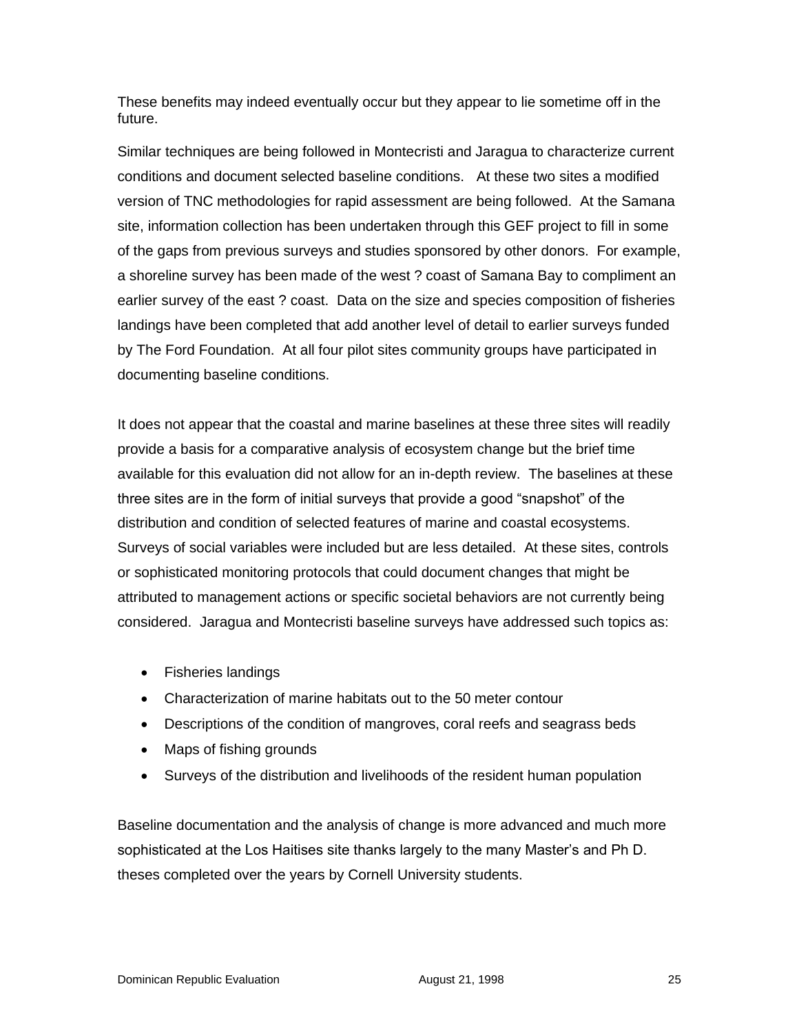These benefits may indeed eventually occur but they appear to lie sometime off in the future.

Similar techniques are being followed in Montecristi and Jaragua to characterize current conditions and document selected baseline conditions. At these two sites a modified version of TNC methodologies for rapid assessment are being followed. At the Samana site, information collection has been undertaken through this GEF project to fill in some of the gaps from previous surveys and studies sponsored by other donors. For example, a shoreline survey has been made of the west ? coast of Samana Bay to compliment an earlier survey of the east ? coast. Data on the size and species composition of fisheries landings have been completed that add another level of detail to earlier surveys funded by The Ford Foundation. At all four pilot sites community groups have participated in documenting baseline conditions.

It does not appear that the coastal and marine baselines at these three sites will readily provide a basis for a comparative analysis of ecosystem change but the brief time available for this evaluation did not allow for an in-depth review. The baselines at these three sites are in the form of initial surveys that provide a good "snapshot" of the distribution and condition of selected features of marine and coastal ecosystems. Surveys of social variables were included but are less detailed. At these sites, controls or sophisticated monitoring protocols that could document changes that might be attributed to management actions or specific societal behaviors are not currently being considered. Jaragua and Montecristi baseline surveys have addressed such topics as:

- Fisheries landings
- Characterization of marine habitats out to the 50 meter contour
- Descriptions of the condition of mangroves, coral reefs and seagrass beds
- Maps of fishing grounds
- Surveys of the distribution and livelihoods of the resident human population

Baseline documentation and the analysis of change is more advanced and much more sophisticated at the Los Haitises site thanks largely to the many Master's and Ph D. theses completed over the years by Cornell University students.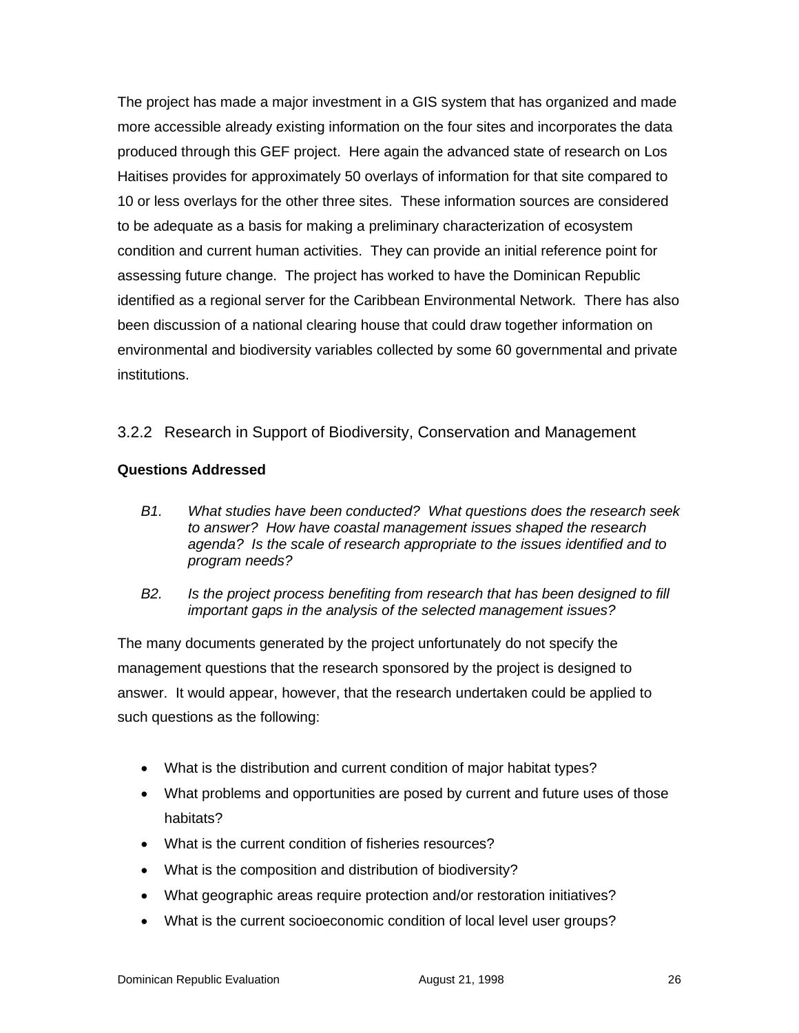The project has made a major investment in a GIS system that has organized and made more accessible already existing information on the four sites and incorporates the data produced through this GEF project. Here again the advanced state of research on Los Haitises provides for approximately 50 overlays of information for that site compared to 10 or less overlays for the other three sites. These information sources are considered to be adequate as a basis for making a preliminary characterization of ecosystem condition and current human activities. They can provide an initial reference point for assessing future change. The project has worked to have the Dominican Republic identified as a regional server for the Caribbean Environmental Network. There has also been discussion of a national clearing house that could draw together information on environmental and biodiversity variables collected by some 60 governmental and private institutions.

### 3.2.2 Research in Support of Biodiversity, Conservation and Management

#### **Questions Addressed**

- *B1. What studies have been conducted? What questions does the research seek to answer? How have coastal management issues shaped the research agenda? Is the scale of research appropriate to the issues identified and to program needs?*
- *B2. Is the project process benefiting from research that has been designed to fill important gaps in the analysis of the selected management issues?*

The many documents generated by the project unfortunately do not specify the management questions that the research sponsored by the project is designed to answer. It would appear, however, that the research undertaken could be applied to such questions as the following:

- What is the distribution and current condition of major habitat types?
- What problems and opportunities are posed by current and future uses of those habitats?
- What is the current condition of fisheries resources?
- What is the composition and distribution of biodiversity?
- What geographic areas require protection and/or restoration initiatives?
- What is the current socioeconomic condition of local level user groups?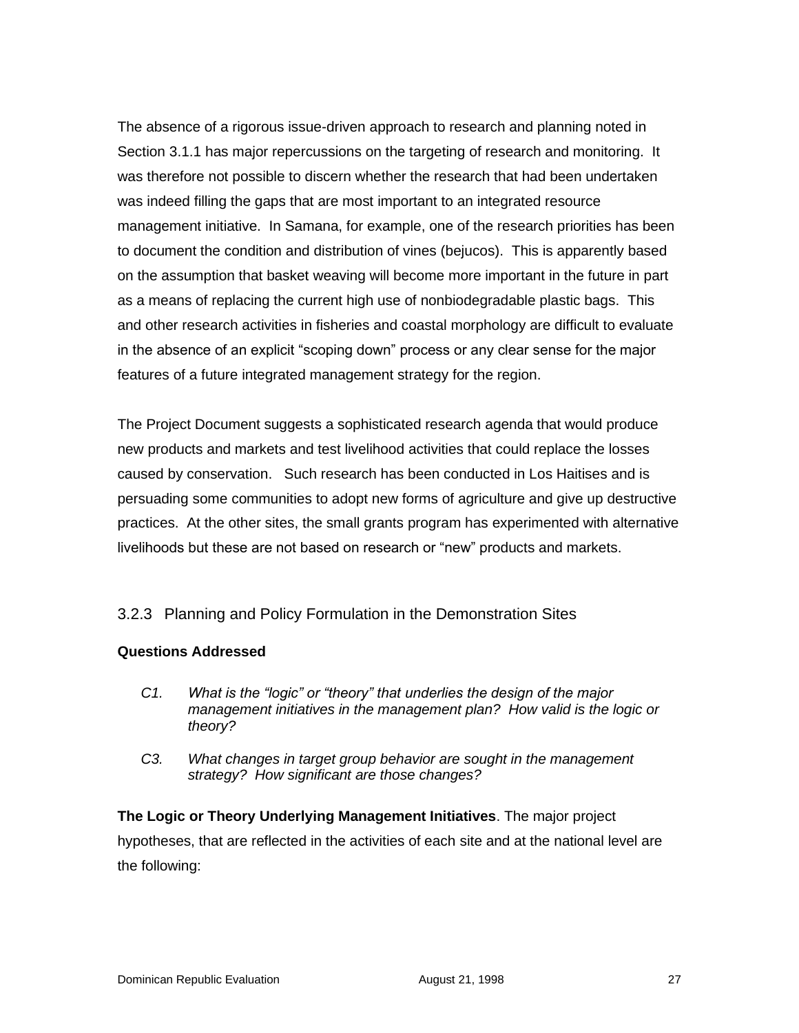The absence of a rigorous issue-driven approach to research and planning noted in Section 3.1.1 has major repercussions on the targeting of research and monitoring. It was therefore not possible to discern whether the research that had been undertaken was indeed filling the gaps that are most important to an integrated resource management initiative. In Samana, for example, one of the research priorities has been to document the condition and distribution of vines (bejucos). This is apparently based on the assumption that basket weaving will become more important in the future in part as a means of replacing the current high use of nonbiodegradable plastic bags. This and other research activities in fisheries and coastal morphology are difficult to evaluate in the absence of an explicit "scoping down" process or any clear sense for the major features of a future integrated management strategy for the region.

The Project Document suggests a sophisticated research agenda that would produce new products and markets and test livelihood activities that could replace the losses caused by conservation. Such research has been conducted in Los Haitises and is persuading some communities to adopt new forms of agriculture and give up destructive practices. At the other sites, the small grants program has experimented with alternative livelihoods but these are not based on research or "new" products and markets.

#### 3.2.3 Planning and Policy Formulation in the Demonstration Sites

#### **Questions Addressed**

- *C1. What is the "logic" or "theory" that underlies the design of the major management initiatives in the management plan? How valid is the logic or theory?*
- *C3. What changes in target group behavior are sought in the management strategy? How significant are those changes?*

**The Logic or Theory Underlying Management Initiatives**. The major project hypotheses, that are reflected in the activities of each site and at the national level are the following: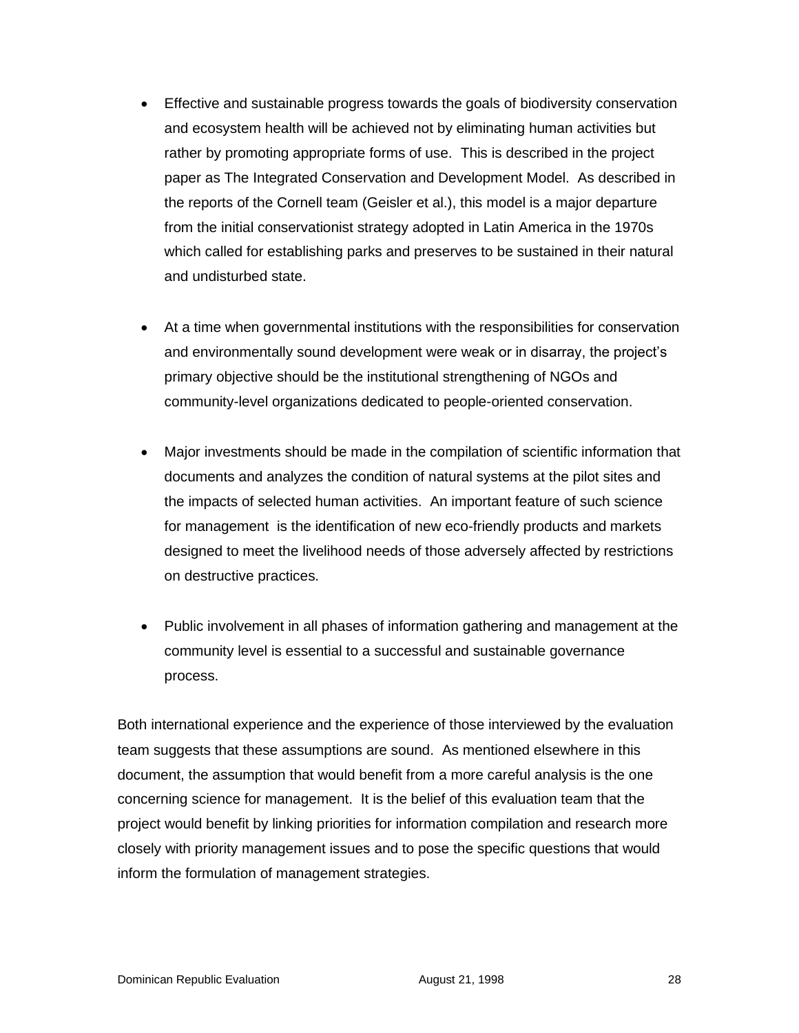- Effective and sustainable progress towards the goals of biodiversity conservation and ecosystem health will be achieved not by eliminating human activities but rather by promoting appropriate forms of use. This is described in the project paper as The Integrated Conservation and Development Model. As described in the reports of the Cornell team (Geisler et al.), this model is a major departure from the initial conservationist strategy adopted in Latin America in the 1970s which called for establishing parks and preserves to be sustained in their natural and undisturbed state.
- At a time when governmental institutions with the responsibilities for conservation and environmentally sound development were weak or in disarray, the project's primary objective should be the institutional strengthening of NGOs and community-level organizations dedicated to people-oriented conservation.
- Major investments should be made in the compilation of scientific information that documents and analyzes the condition of natural systems at the pilot sites and the impacts of selected human activities. An important feature of such science for management is the identification of new eco-friendly products and markets designed to meet the livelihood needs of those adversely affected by restrictions on destructive practices.
- Public involvement in all phases of information gathering and management at the community level is essential to a successful and sustainable governance process.

Both international experience and the experience of those interviewed by the evaluation team suggests that these assumptions are sound. As mentioned elsewhere in this document, the assumption that would benefit from a more careful analysis is the one concerning science for management. It is the belief of this evaluation team that the project would benefit by linking priorities for information compilation and research more closely with priority management issues and to pose the specific questions that would inform the formulation of management strategies.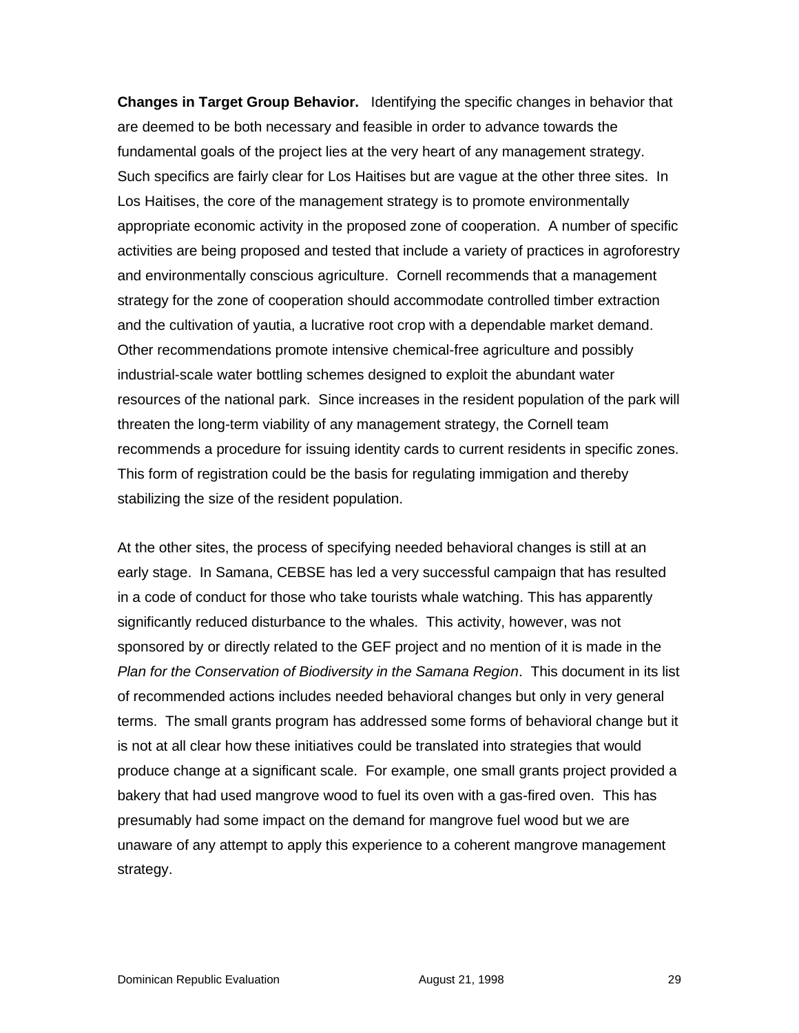**Changes in Target Group Behavior.** Identifying the specific changes in behavior that are deemed to be both necessary and feasible in order to advance towards the fundamental goals of the project lies at the very heart of any management strategy. Such specifics are fairly clear for Los Haitises but are vague at the other three sites. In Los Haitises, the core of the management strategy is to promote environmentally appropriate economic activity in the proposed zone of cooperation. A number of specific activities are being proposed and tested that include a variety of practices in agroforestry and environmentally conscious agriculture. Cornell recommends that a management strategy for the zone of cooperation should accommodate controlled timber extraction and the cultivation of yautia, a lucrative root crop with a dependable market demand. Other recommendations promote intensive chemical-free agriculture and possibly industrial-scale water bottling schemes designed to exploit the abundant water resources of the national park. Since increases in the resident population of the park will threaten the long-term viability of any management strategy, the Cornell team recommends a procedure for issuing identity cards to current residents in specific zones. This form of registration could be the basis for regulating immigation and thereby stabilizing the size of the resident population.

At the other sites, the process of specifying needed behavioral changes is still at an early stage. In Samana, CEBSE has led a very successful campaign that has resulted in a code of conduct for those who take tourists whale watching. This has apparently significantly reduced disturbance to the whales. This activity, however, was not sponsored by or directly related to the GEF project and no mention of it is made in the *Plan for the Conservation of Biodiversity in the Samana Region*. This document in its list of recommended actions includes needed behavioral changes but only in very general terms. The small grants program has addressed some forms of behavioral change but it is not at all clear how these initiatives could be translated into strategies that would produce change at a significant scale. For example, one small grants project provided a bakery that had used mangrove wood to fuel its oven with a gas-fired oven. This has presumably had some impact on the demand for mangrove fuel wood but we are unaware of any attempt to apply this experience to a coherent mangrove management strategy.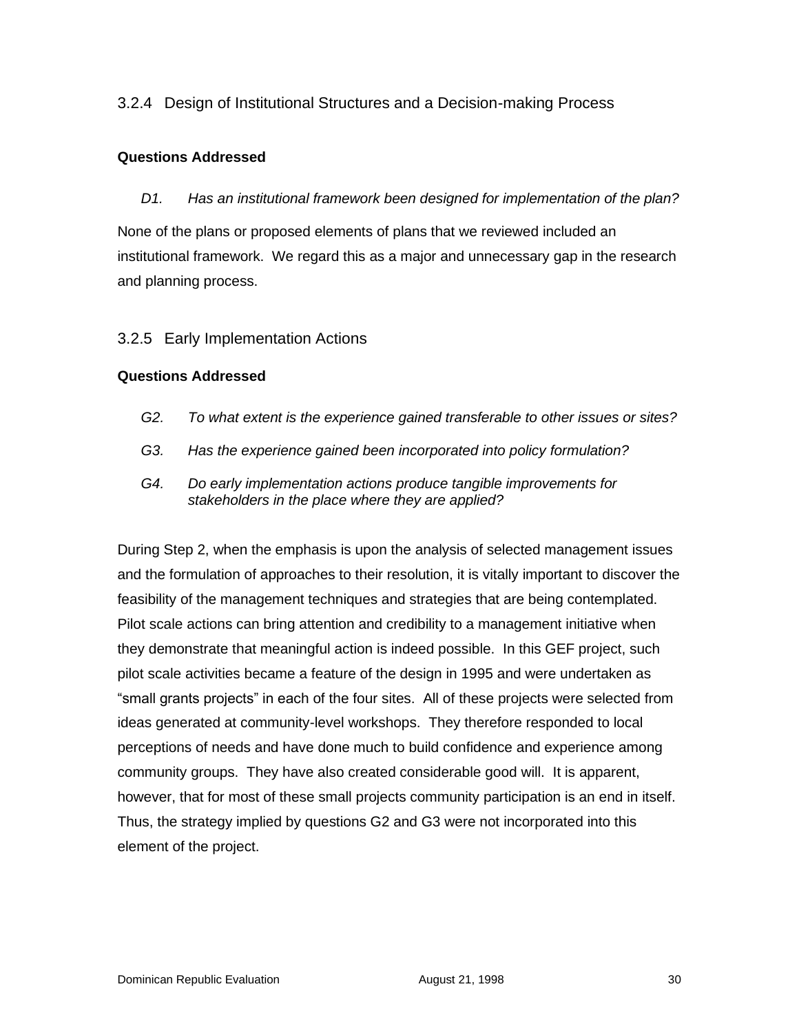### 3.2.4 Design of Institutional Structures and a Decision-making Process

#### **Questions Addressed**

*D1. Has an institutional framework been designed for implementation of the plan?*

None of the plans or proposed elements of plans that we reviewed included an institutional framework. We regard this as a major and unnecessary gap in the research and planning process.

#### 3.2.5 Early Implementation Actions

#### **Questions Addressed**

- *G2. To what extent is the experience gained transferable to other issues or sites?*
- *G3. Has the experience gained been incorporated into policy formulation?*
- *G4. Do early implementation actions produce tangible improvements for stakeholders in the place where they are applied?*

During Step 2, when the emphasis is upon the analysis of selected management issues and the formulation of approaches to their resolution, it is vitally important to discover the feasibility of the management techniques and strategies that are being contemplated. Pilot scale actions can bring attention and credibility to a management initiative when they demonstrate that meaningful action is indeed possible. In this GEF project, such pilot scale activities became a feature of the design in 1995 and were undertaken as "small grants projects" in each of the four sites. All of these projects were selected from ideas generated at community-level workshops. They therefore responded to local perceptions of needs and have done much to build confidence and experience among community groups. They have also created considerable good will. It is apparent, however, that for most of these small projects community participation is an end in itself. Thus, the strategy implied by questions G2 and G3 were not incorporated into this element of the project.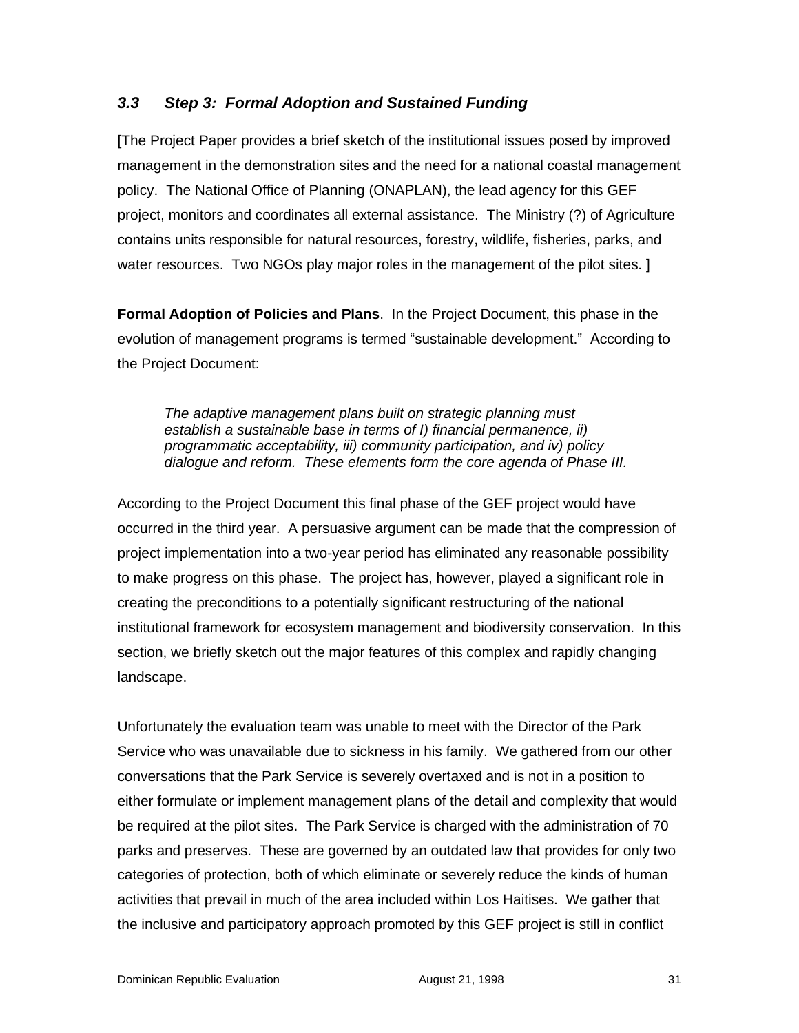### *3.3 Step 3: Formal Adoption and Sustained Funding*

[The Project Paper provides a brief sketch of the institutional issues posed by improved management in the demonstration sites and the need for a national coastal management policy. The National Office of Planning (ONAPLAN), the lead agency for this GEF project, monitors and coordinates all external assistance. The Ministry (?) of Agriculture contains units responsible for natural resources, forestry, wildlife, fisheries, parks, and water resources. Two NGOs play major roles in the management of the pilot sites. ]

**Formal Adoption of Policies and Plans**. In the Project Document, this phase in the evolution of management programs is termed "sustainable development." According to the Project Document:

*The adaptive management plans built on strategic planning must establish a sustainable base in terms of I) financial permanence, ii) programmatic acceptability, iii) community participation, and iv) policy dialogue and reform. These elements form the core agenda of Phase III.*

According to the Project Document this final phase of the GEF project would have occurred in the third year. A persuasive argument can be made that the compression of project implementation into a two-year period has eliminated any reasonable possibility to make progress on this phase. The project has, however, played a significant role in creating the preconditions to a potentially significant restructuring of the national institutional framework for ecosystem management and biodiversity conservation. In this section, we briefly sketch out the major features of this complex and rapidly changing landscape.

Unfortunately the evaluation team was unable to meet with the Director of the Park Service who was unavailable due to sickness in his family. We gathered from our other conversations that the Park Service is severely overtaxed and is not in a position to either formulate or implement management plans of the detail and complexity that would be required at the pilot sites. The Park Service is charged with the administration of 70 parks and preserves. These are governed by an outdated law that provides for only two categories of protection, both of which eliminate or severely reduce the kinds of human activities that prevail in much of the area included within Los Haitises. We gather that the inclusive and participatory approach promoted by this GEF project is still in conflict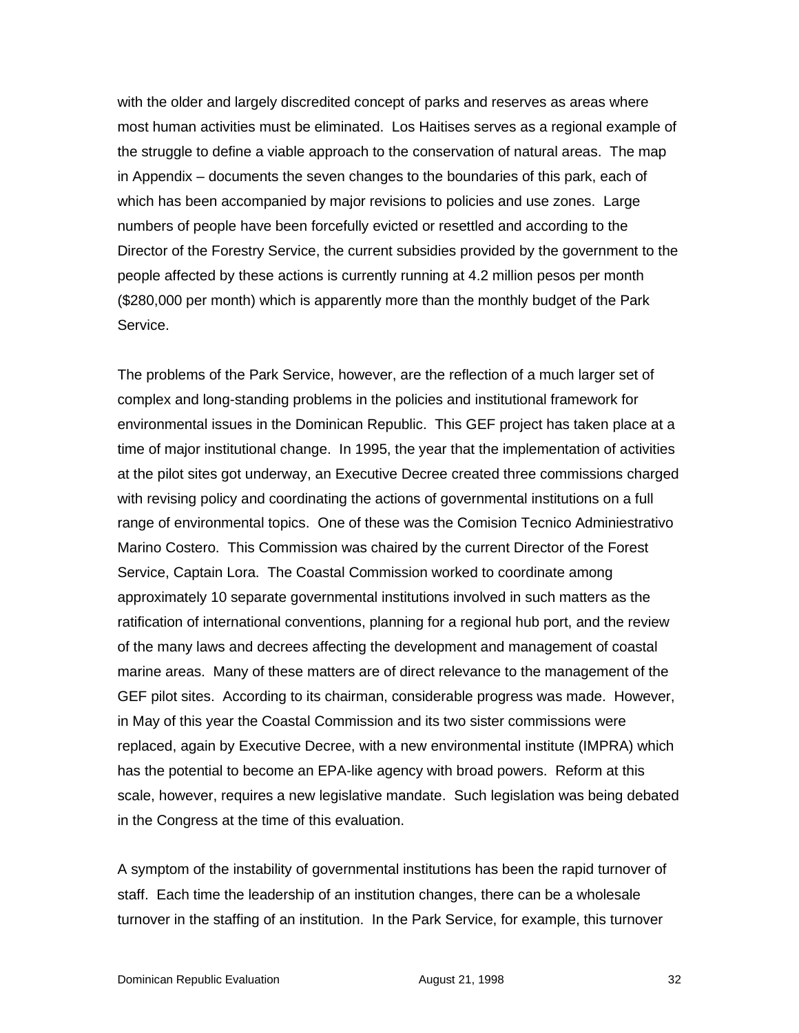with the older and largely discredited concept of parks and reserves as areas where most human activities must be eliminated. Los Haitises serves as a regional example of the struggle to define a viable approach to the conservation of natural areas. The map in Appendix – documents the seven changes to the boundaries of this park, each of which has been accompanied by major revisions to policies and use zones. Large numbers of people have been forcefully evicted or resettled and according to the Director of the Forestry Service, the current subsidies provided by the government to the people affected by these actions is currently running at 4.2 million pesos per month (\$280,000 per month) which is apparently more than the monthly budget of the Park Service.

The problems of the Park Service, however, are the reflection of a much larger set of complex and long-standing problems in the policies and institutional framework for environmental issues in the Dominican Republic. This GEF project has taken place at a time of major institutional change. In 1995, the year that the implementation of activities at the pilot sites got underway, an Executive Decree created three commissions charged with revising policy and coordinating the actions of governmental institutions on a full range of environmental topics. One of these was the Comision Tecnico Adminiestrativo Marino Costero. This Commission was chaired by the current Director of the Forest Service, Captain Lora. The Coastal Commission worked to coordinate among approximately 10 separate governmental institutions involved in such matters as the ratification of international conventions, planning for a regional hub port, and the review of the many laws and decrees affecting the development and management of coastal marine areas. Many of these matters are of direct relevance to the management of the GEF pilot sites. According to its chairman, considerable progress was made. However, in May of this year the Coastal Commission and its two sister commissions were replaced, again by Executive Decree, with a new environmental institute (IMPRA) which has the potential to become an EPA-like agency with broad powers. Reform at this scale, however, requires a new legislative mandate. Such legislation was being debated in the Congress at the time of this evaluation.

A symptom of the instability of governmental institutions has been the rapid turnover of staff. Each time the leadership of an institution changes, there can be a wholesale turnover in the staffing of an institution. In the Park Service, for example, this turnover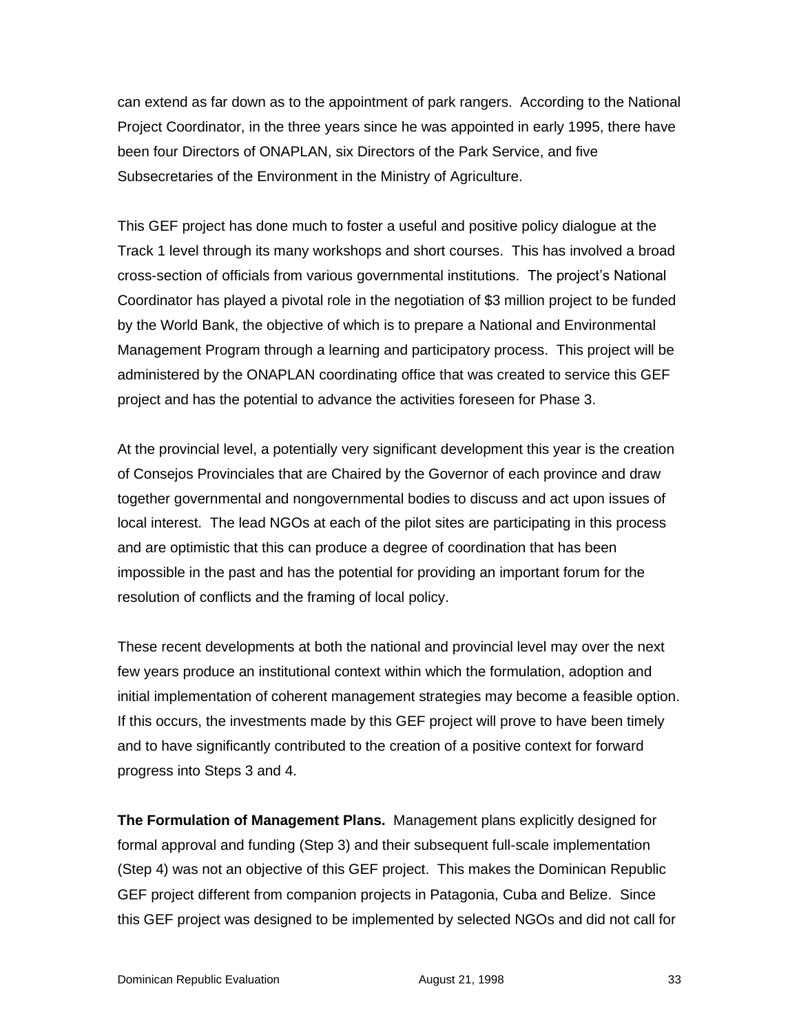can extend as far down as to the appointment of park rangers. According to the National Project Coordinator, in the three years since he was appointed in early 1995, there have been four Directors of ONAPLAN, six Directors of the Park Service, and five Subsecretaries of the Environment in the Ministry of Agriculture.

This GEF project has done much to foster a useful and positive policy dialogue at the Track 1 level through its many workshops and short courses. This has involved a broad cross-section of officials from various governmental institutions. The project's National Coordinator has played a pivotal role in the negotiation of \$3 million project to be funded by the World Bank, the objective of which is to prepare a National and Environmental Management Program through a learning and participatory process. This project will be administered by the ONAPLAN coordinating office that was created to service this GEF project and has the potential to advance the activities foreseen for Phase 3.

At the provincial level, a potentially very significant development this year is the creation of Consejos Provinciales that are Chaired by the Governor of each province and draw together governmental and nongovernmental bodies to discuss and act upon issues of local interest. The lead NGOs at each of the pilot sites are participating in this process and are optimistic that this can produce a degree of coordination that has been impossible in the past and has the potential for providing an important forum for the resolution of conflicts and the framing of local policy.

These recent developments at both the national and provincial level may over the next few years produce an institutional context within which the formulation, adoption and initial implementation of coherent management strategies may become a feasible option. If this occurs, the investments made by this GEF project will prove to have been timely and to have significantly contributed to the creation of a positive context for forward progress into Steps 3 and 4.

**The Formulation of Management Plans.** Management plans explicitly designed for formal approval and funding (Step 3) and their subsequent full-scale implementation (Step 4) was not an objective of this GEF project. This makes the Dominican Republic GEF project different from companion projects in Patagonia, Cuba and Belize. Since this GEF project was designed to be implemented by selected NGOs and did not call for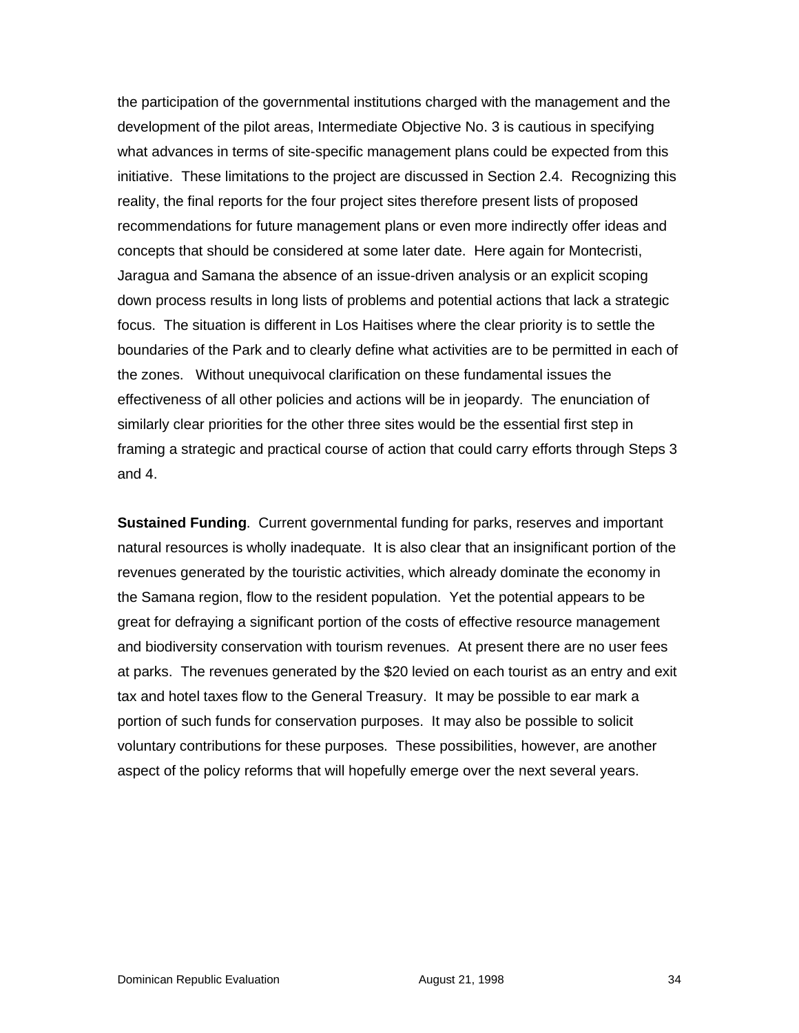the participation of the governmental institutions charged with the management and the development of the pilot areas, Intermediate Objective No. 3 is cautious in specifying what advances in terms of site-specific management plans could be expected from this initiative. These limitations to the project are discussed in Section 2.4. Recognizing this reality, the final reports for the four project sites therefore present lists of proposed recommendations for future management plans or even more indirectly offer ideas and concepts that should be considered at some later date. Here again for Montecristi, Jaragua and Samana the absence of an issue-driven analysis or an explicit scoping down process results in long lists of problems and potential actions that lack a strategic focus. The situation is different in Los Haitises where the clear priority is to settle the boundaries of the Park and to clearly define what activities are to be permitted in each of the zones. Without unequivocal clarification on these fundamental issues the effectiveness of all other policies and actions will be in jeopardy. The enunciation of similarly clear priorities for the other three sites would be the essential first step in framing a strategic and practical course of action that could carry efforts through Steps 3 and 4.

**Sustained Funding**. Current governmental funding for parks, reserves and important natural resources is wholly inadequate. It is also clear that an insignificant portion of the revenues generated by the touristic activities, which already dominate the economy in the Samana region, flow to the resident population. Yet the potential appears to be great for defraying a significant portion of the costs of effective resource management and biodiversity conservation with tourism revenues. At present there are no user fees at parks. The revenues generated by the \$20 levied on each tourist as an entry and exit tax and hotel taxes flow to the General Treasury. It may be possible to ear mark a portion of such funds for conservation purposes. It may also be possible to solicit voluntary contributions for these purposes. These possibilities, however, are another aspect of the policy reforms that will hopefully emerge over the next several years.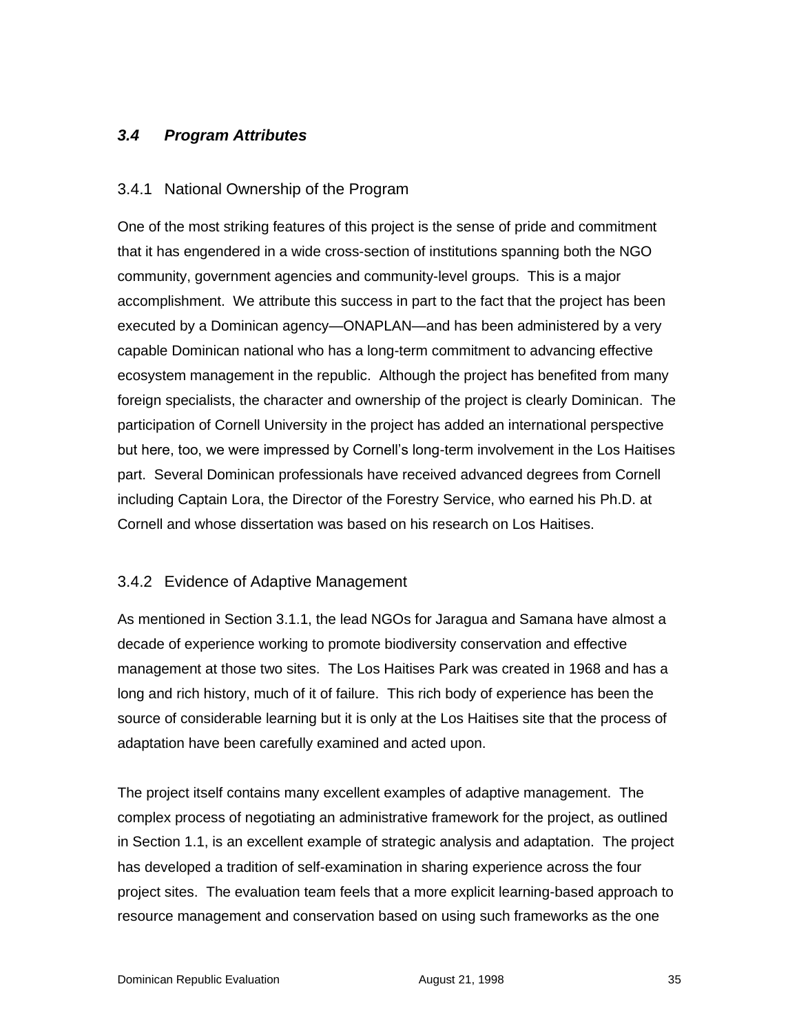### *3.4 Program Attributes*

#### 3.4.1 National Ownership of the Program

One of the most striking features of this project is the sense of pride and commitment that it has engendered in a wide cross-section of institutions spanning both the NGO community, government agencies and community-level groups. This is a major accomplishment. We attribute this success in part to the fact that the project has been executed by a Dominican agency—ONAPLAN—and has been administered by a very capable Dominican national who has a long-term commitment to advancing effective ecosystem management in the republic. Although the project has benefited from many foreign specialists, the character and ownership of the project is clearly Dominican. The participation of Cornell University in the project has added an international perspective but here, too, we were impressed by Cornell's long-term involvement in the Los Haitises part. Several Dominican professionals have received advanced degrees from Cornell including Captain Lora, the Director of the Forestry Service, who earned his Ph.D. at Cornell and whose dissertation was based on his research on Los Haitises.

### 3.4.2 Evidence of Adaptive Management

As mentioned in Section 3.1.1, the lead NGOs for Jaragua and Samana have almost a decade of experience working to promote biodiversity conservation and effective management at those two sites. The Los Haitises Park was created in 1968 and has a long and rich history, much of it of failure. This rich body of experience has been the source of considerable learning but it is only at the Los Haitises site that the process of adaptation have been carefully examined and acted upon.

The project itself contains many excellent examples of adaptive management. The complex process of negotiating an administrative framework for the project, as outlined in Section 1.1, is an excellent example of strategic analysis and adaptation. The project has developed a tradition of self-examination in sharing experience across the four project sites. The evaluation team feels that a more explicit learning-based approach to resource management and conservation based on using such frameworks as the one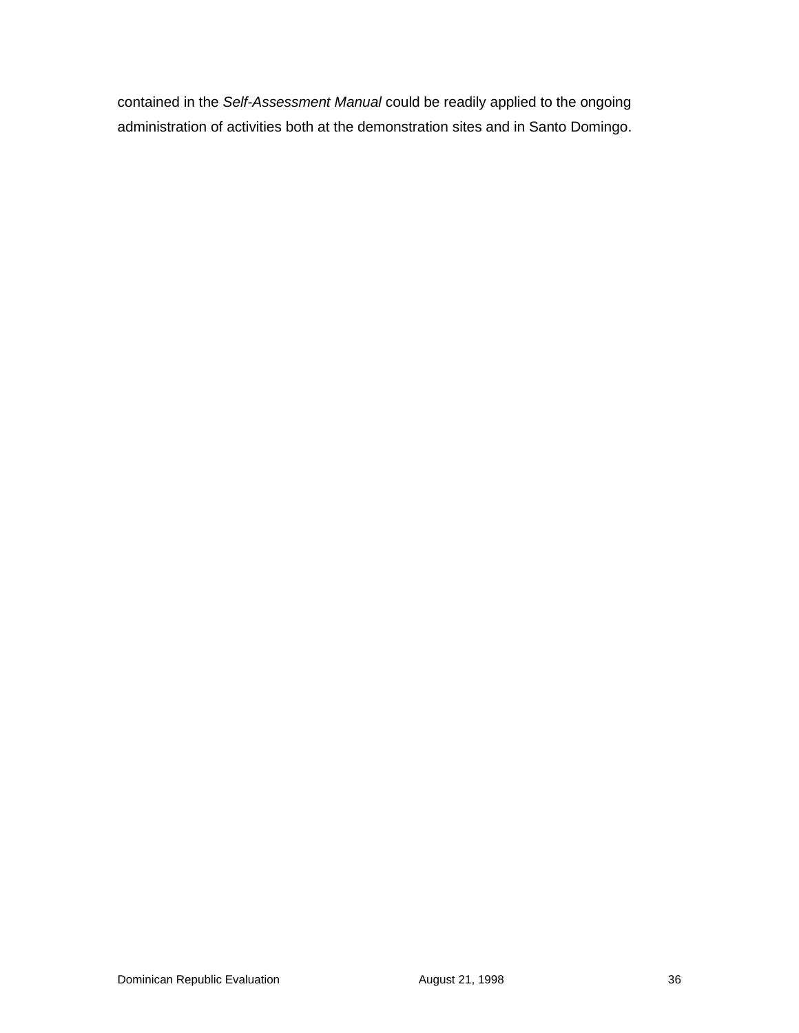contained in the *Self-Assessment Manual* could be readily applied to the ongoing administration of activities both at the demonstration sites and in Santo Domingo.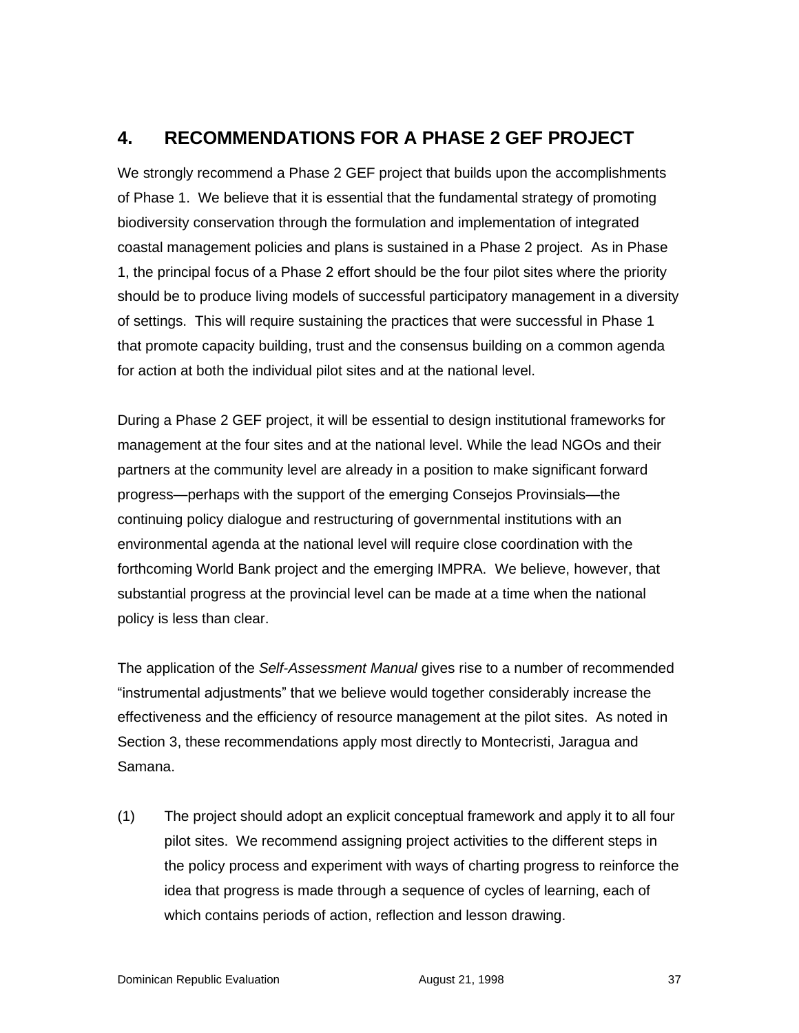# **4. RECOMMENDATIONS FOR A PHASE 2 GEF PROJECT**

We strongly recommend a Phase 2 GEF project that builds upon the accomplishments of Phase 1. We believe that it is essential that the fundamental strategy of promoting biodiversity conservation through the formulation and implementation of integrated coastal management policies and plans is sustained in a Phase 2 project. As in Phase 1, the principal focus of a Phase 2 effort should be the four pilot sites where the priority should be to produce living models of successful participatory management in a diversity of settings. This will require sustaining the practices that were successful in Phase 1 that promote capacity building, trust and the consensus building on a common agenda for action at both the individual pilot sites and at the national level.

During a Phase 2 GEF project, it will be essential to design institutional frameworks for management at the four sites and at the national level. While the lead NGOs and their partners at the community level are already in a position to make significant forward progress—perhaps with the support of the emerging Consejos Provinsials—the continuing policy dialogue and restructuring of governmental institutions with an environmental agenda at the national level will require close coordination with the forthcoming World Bank project and the emerging IMPRA. We believe, however, that substantial progress at the provincial level can be made at a time when the national policy is less than clear.

The application of the *Self-Assessment Manual* gives rise to a number of recommended "instrumental adjustments" that we believe would together considerably increase the effectiveness and the efficiency of resource management at the pilot sites. As noted in Section 3, these recommendations apply most directly to Montecristi, Jaragua and Samana.

(1) The project should adopt an explicit conceptual framework and apply it to all four pilot sites. We recommend assigning project activities to the different steps in the policy process and experiment with ways of charting progress to reinforce the idea that progress is made through a sequence of cycles of learning, each of which contains periods of action, reflection and lesson drawing.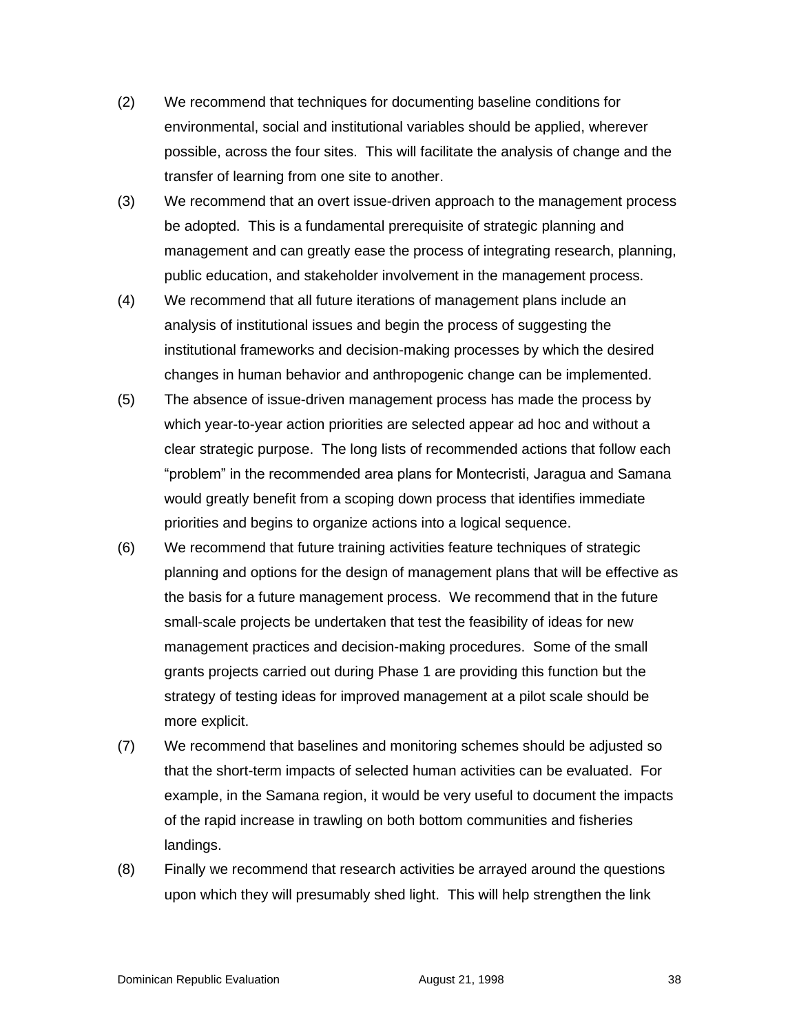- (2) We recommend that techniques for documenting baseline conditions for environmental, social and institutional variables should be applied, wherever possible, across the four sites. This will facilitate the analysis of change and the transfer of learning from one site to another.
- (3) We recommend that an overt issue-driven approach to the management process be adopted. This is a fundamental prerequisite of strategic planning and management and can greatly ease the process of integrating research, planning, public education, and stakeholder involvement in the management process.
- (4) We recommend that all future iterations of management plans include an analysis of institutional issues and begin the process of suggesting the institutional frameworks and decision-making processes by which the desired changes in human behavior and anthropogenic change can be implemented.
- (5) The absence of issue-driven management process has made the process by which year-to-year action priorities are selected appear ad hoc and without a clear strategic purpose. The long lists of recommended actions that follow each "problem" in the recommended area plans for Montecristi, Jaragua and Samana would greatly benefit from a scoping down process that identifies immediate priorities and begins to organize actions into a logical sequence.
- (6) We recommend that future training activities feature techniques of strategic planning and options for the design of management plans that will be effective as the basis for a future management process. We recommend that in the future small-scale projects be undertaken that test the feasibility of ideas for new management practices and decision-making procedures. Some of the small grants projects carried out during Phase 1 are providing this function but the strategy of testing ideas for improved management at a pilot scale should be more explicit.
- (7) We recommend that baselines and monitoring schemes should be adjusted so that the short-term impacts of selected human activities can be evaluated. For example, in the Samana region, it would be very useful to document the impacts of the rapid increase in trawling on both bottom communities and fisheries landings.
- (8) Finally we recommend that research activities be arrayed around the questions upon which they will presumably shed light. This will help strengthen the link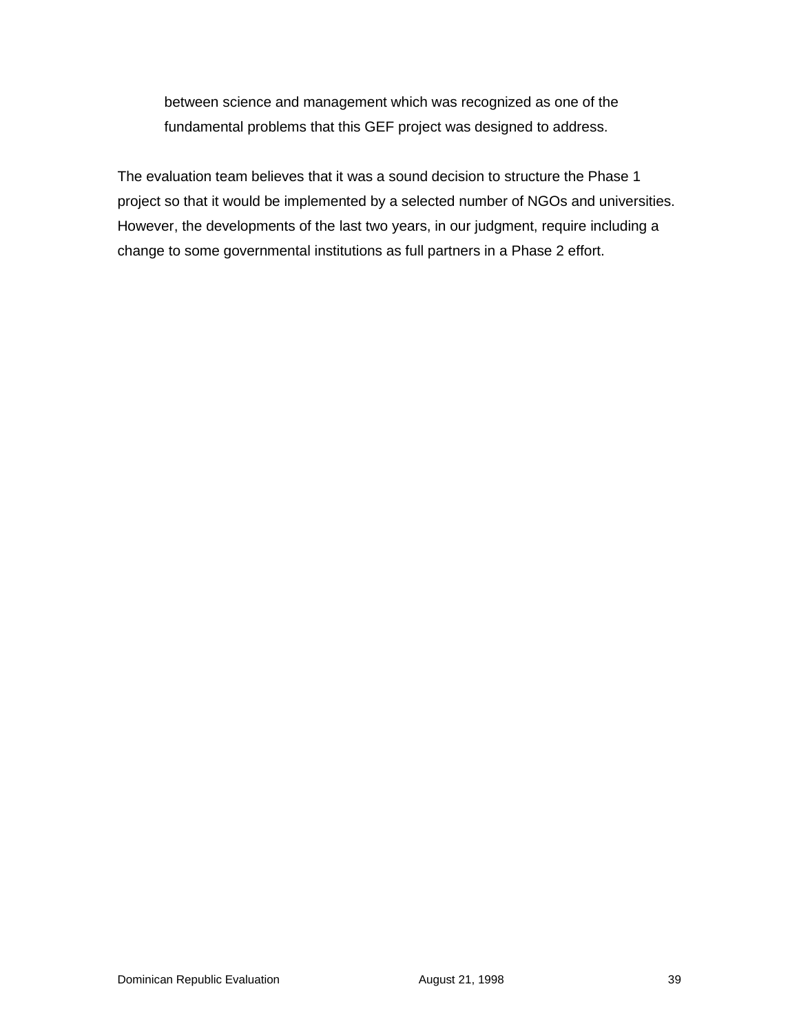between science and management which was recognized as one of the fundamental problems that this GEF project was designed to address.

The evaluation team believes that it was a sound decision to structure the Phase 1 project so that it would be implemented by a selected number of NGOs and universities. However, the developments of the last two years, in our judgment, require including a change to some governmental institutions as full partners in a Phase 2 effort.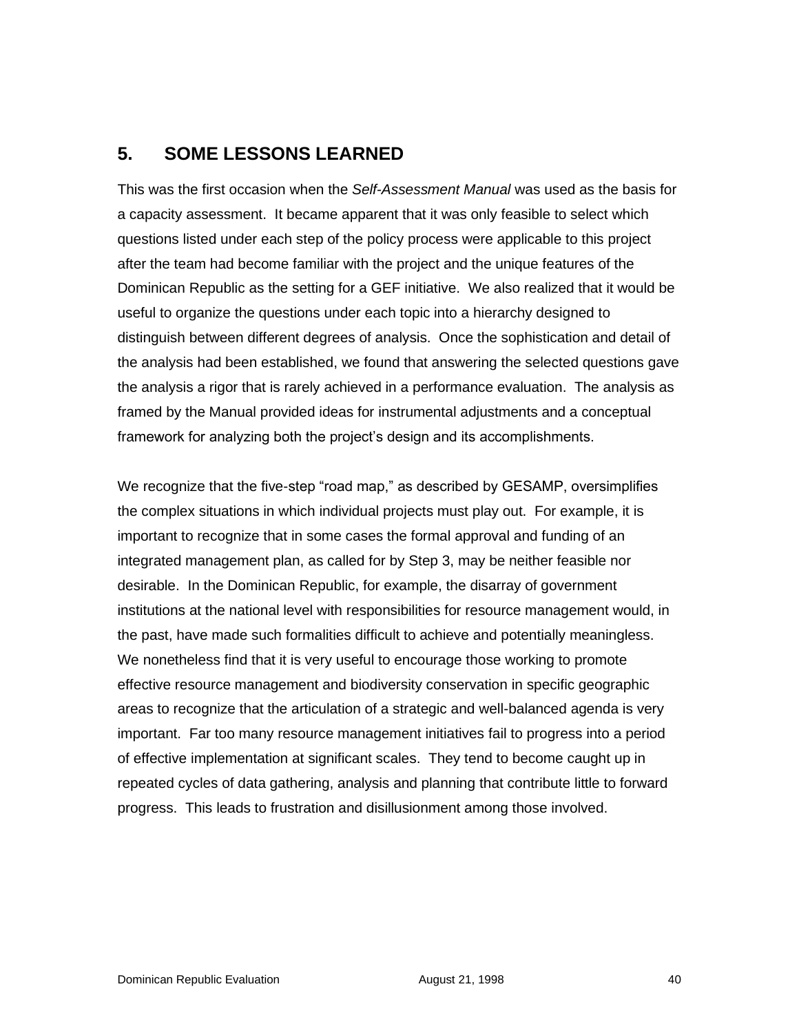# **5. SOME LESSONS LEARNED**

This was the first occasion when the *Self-Assessment Manual* was used as the basis for a capacity assessment. It became apparent that it was only feasible to select which questions listed under each step of the policy process were applicable to this project after the team had become familiar with the project and the unique features of the Dominican Republic as the setting for a GEF initiative. We also realized that it would be useful to organize the questions under each topic into a hierarchy designed to distinguish between different degrees of analysis. Once the sophistication and detail of the analysis had been established, we found that answering the selected questions gave the analysis a rigor that is rarely achieved in a performance evaluation. The analysis as framed by the Manual provided ideas for instrumental adjustments and a conceptual framework for analyzing both the project's design and its accomplishments.

We recognize that the five-step "road map," as described by GESAMP, oversimplifies the complex situations in which individual projects must play out. For example, it is important to recognize that in some cases the formal approval and funding of an integrated management plan, as called for by Step 3, may be neither feasible nor desirable. In the Dominican Republic, for example, the disarray of government institutions at the national level with responsibilities for resource management would, in the past, have made such formalities difficult to achieve and potentially meaningless. We nonetheless find that it is very useful to encourage those working to promote effective resource management and biodiversity conservation in specific geographic areas to recognize that the articulation of a strategic and well-balanced agenda is very important. Far too many resource management initiatives fail to progress into a period of effective implementation at significant scales. They tend to become caught up in repeated cycles of data gathering, analysis and planning that contribute little to forward progress. This leads to frustration and disillusionment among those involved.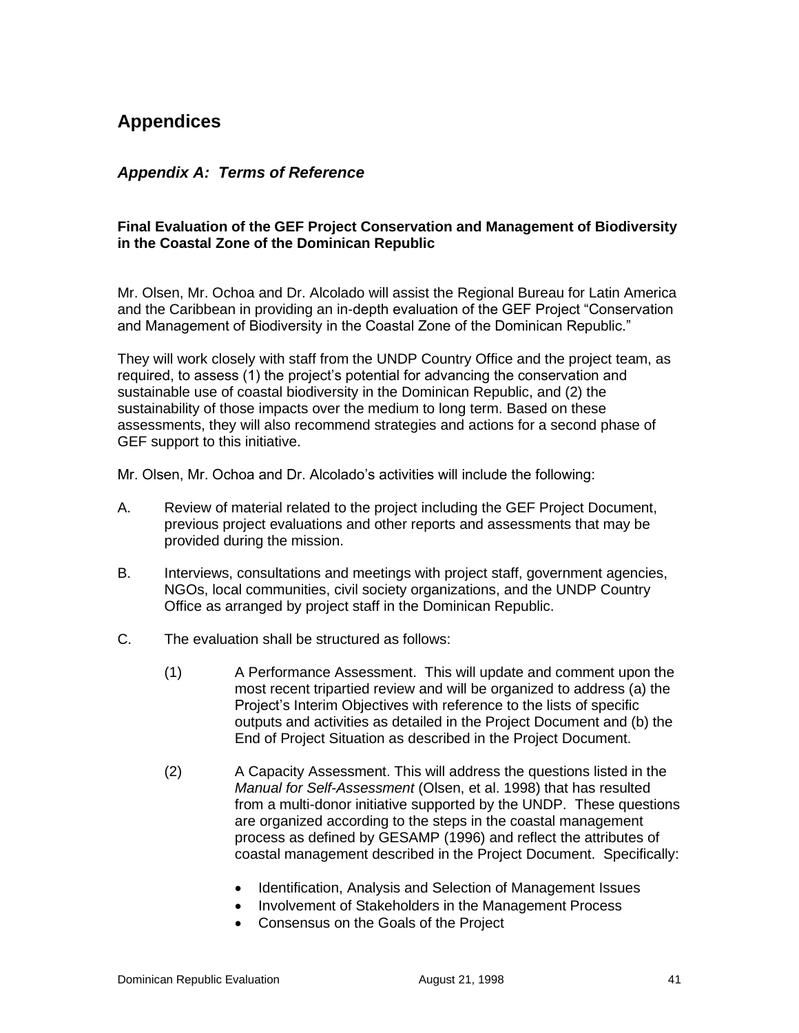# **Appendices**

#### *Appendix A: Terms of Reference*

#### **Final Evaluation of the GEF Project Conservation and Management of Biodiversity in the Coastal Zone of the Dominican Republic**

Mr. Olsen, Mr. Ochoa and Dr. Alcolado will assist the Regional Bureau for Latin America and the Caribbean in providing an in-depth evaluation of the GEF Project "Conservation and Management of Biodiversity in the Coastal Zone of the Dominican Republic."

They will work closely with staff from the UNDP Country Office and the project team, as required, to assess (1) the project's potential for advancing the conservation and sustainable use of coastal biodiversity in the Dominican Republic, and (2) the sustainability of those impacts over the medium to long term. Based on these assessments, they will also recommend strategies and actions for a second phase of GEF support to this initiative.

Mr. Olsen, Mr. Ochoa and Dr. Alcolado's activities will include the following:

- A. Review of material related to the project including the GEF Project Document, previous project evaluations and other reports and assessments that may be provided during the mission.
- B. Interviews, consultations and meetings with project staff, government agencies, NGOs, local communities, civil society organizations, and the UNDP Country Office as arranged by project staff in the Dominican Republic.
- C. The evaluation shall be structured as follows:
	- (1) A Performance Assessment. This will update and comment upon the most recent tripartied review and will be organized to address (a) the Project's Interim Objectives with reference to the lists of specific outputs and activities as detailed in the Project Document and (b) the End of Project Situation as described in the Project Document.
	- (2) A Capacity Assessment. This will address the questions listed in the *Manual for Self-Assessment* (Olsen, et al. 1998) that has resulted from a multi-donor initiative supported by the UNDP. These questions are organized according to the steps in the coastal management process as defined by GESAMP (1996) and reflect the attributes of coastal management described in the Project Document. Specifically:
		- Identification, Analysis and Selection of Management Issues
		- Involvement of Stakeholders in the Management Process
		- Consensus on the Goals of the Project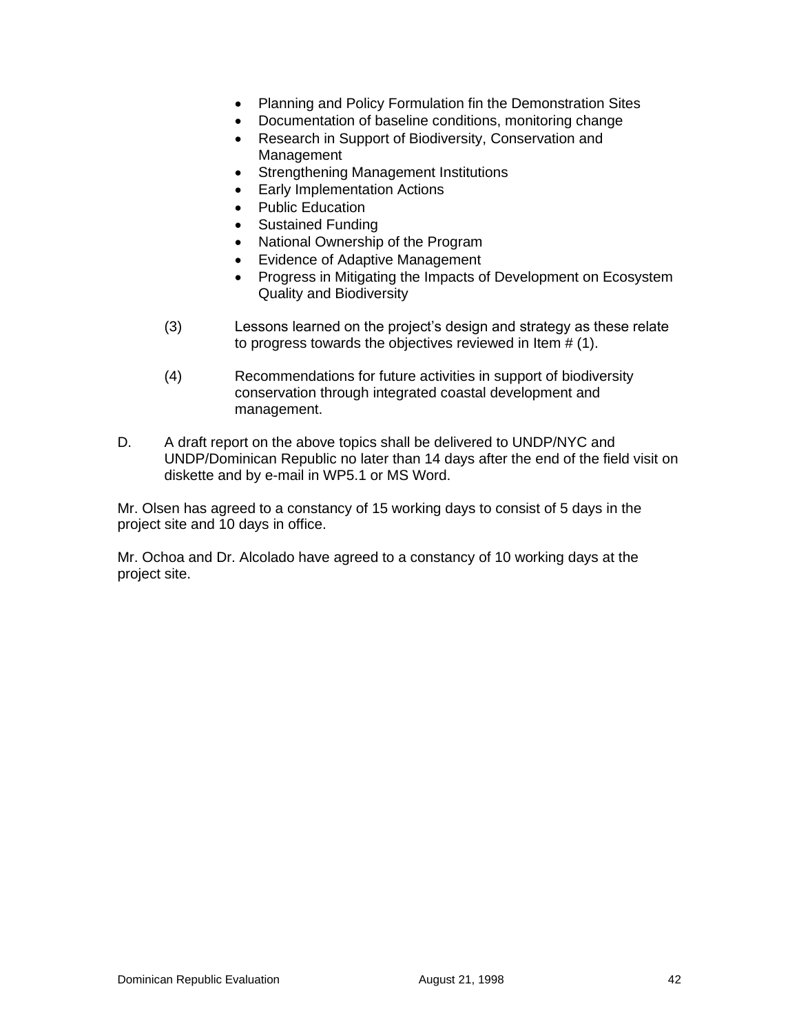- Planning and Policy Formulation fin the Demonstration Sites
- Documentation of baseline conditions, monitoring change
- Research in Support of Biodiversity, Conservation and Management
- Strengthening Management Institutions
- Early Implementation Actions
- Public Education
- Sustained Funding
- National Ownership of the Program
- Evidence of Adaptive Management
- Progress in Mitigating the Impacts of Development on Ecosystem Quality and Biodiversity
- (3) Lessons learned on the project's design and strategy as these relate to progress towards the objectives reviewed in Item # (1).
- (4) Recommendations for future activities in support of biodiversity conservation through integrated coastal development and management.
- D. A draft report on the above topics shall be delivered to UNDP/NYC and UNDP/Dominican Republic no later than 14 days after the end of the field visit on diskette and by e-mail in WP5.1 or MS Word.

Mr. Olsen has agreed to a constancy of 15 working days to consist of 5 days in the project site and 10 days in office.

Mr. Ochoa and Dr. Alcolado have agreed to a constancy of 10 working days at the project site.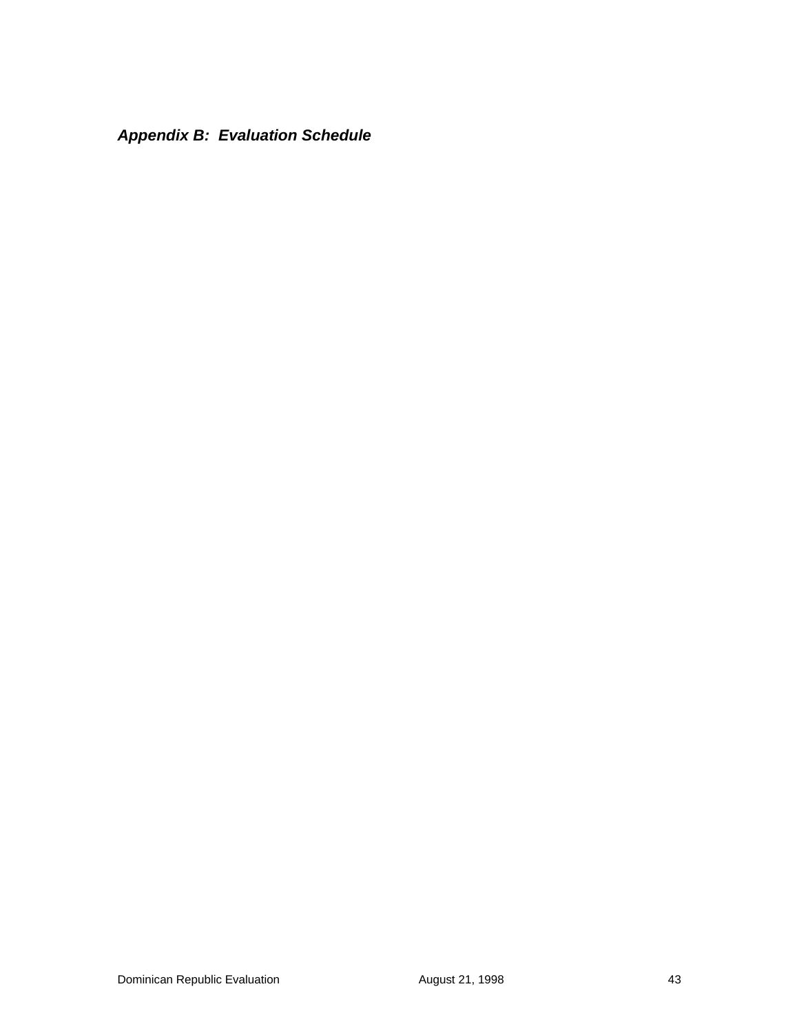*Appendix B: Evaluation Schedule*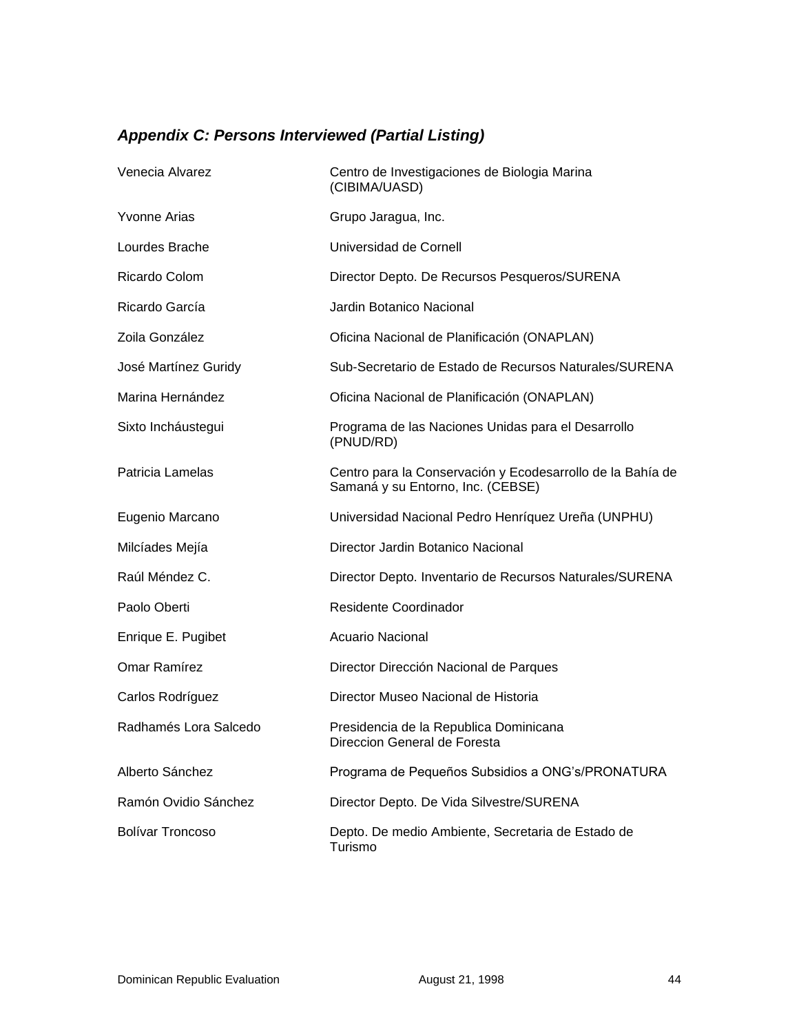# *Appendix C: Persons Interviewed (Partial Listing)*

| Venecia Alvarez         | Centro de Investigaciones de Biologia Marina<br>(CIBIMA/UASD)                                   |
|-------------------------|-------------------------------------------------------------------------------------------------|
| <b>Yvonne Arias</b>     | Grupo Jaragua, Inc.                                                                             |
| Lourdes Brache          | Universidad de Cornell                                                                          |
| Ricardo Colom           | Director Depto. De Recursos Pesqueros/SURENA                                                    |
| Ricardo García          | Jardin Botanico Nacional                                                                        |
| Zoila González          | Oficina Nacional de Planificación (ONAPLAN)                                                     |
| José Martínez Guridy    | Sub-Secretario de Estado de Recursos Naturales/SURENA                                           |
| Marina Hernández        | Oficina Nacional de Planificación (ONAPLAN)                                                     |
| Sixto Incháustegui      | Programa de las Naciones Unidas para el Desarrollo<br>(PNUD/RD)                                 |
| Patricia Lamelas        | Centro para la Conservación y Ecodesarrollo de la Bahía de<br>Samaná y su Entorno, Inc. (CEBSE) |
| Eugenio Marcano         | Universidad Nacional Pedro Henríquez Ureña (UNPHU)                                              |
| Milcíades Mejía         | Director Jardin Botanico Nacional                                                               |
| Raúl Méndez C.          | Director Depto. Inventario de Recursos Naturales/SURENA                                         |
| Paolo Oberti            | <b>Residente Coordinador</b>                                                                    |
| Enrique E. Pugibet      | <b>Acuario Nacional</b>                                                                         |
| Omar Ramírez            | Director Dirección Nacional de Parques                                                          |
| Carlos Rodríguez        | Director Museo Nacional de Historia                                                             |
| Radhamés Lora Salcedo   | Presidencia de la Republica Dominicana<br>Direccion General de Foresta                          |
| Alberto Sánchez         | Programa de Pequeños Subsidios a ONG's/PRONATURA                                                |
| Ramón Ovidio Sánchez    | Director Depto. De Vida Silvestre/SURENA                                                        |
| <b>Bolívar Troncoso</b> | Depto. De medio Ambiente, Secretaria de Estado de<br>Turismo                                    |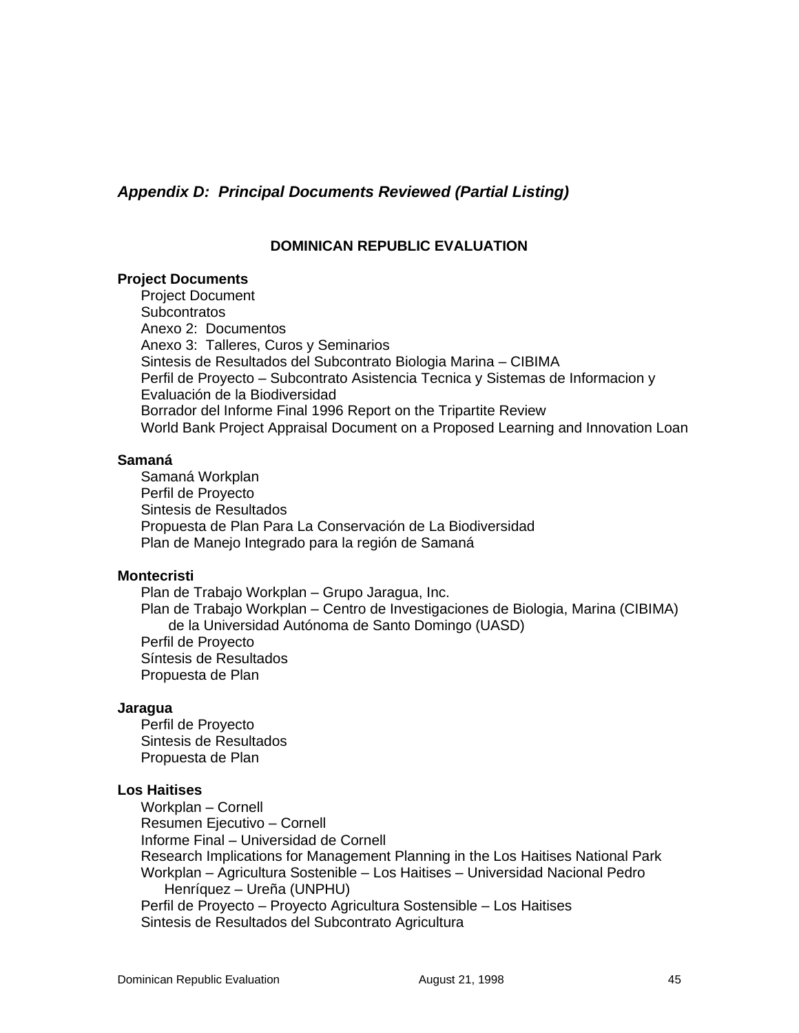*Appendix D: Principal Documents Reviewed (Partial Listing)*

#### **DOMINICAN REPUBLIC EVALUATION**

#### **Project Documents**

Project Document **Subcontratos** Anexo 2: Documentos Anexo 3: Talleres, Curos y Seminarios Sintesis de Resultados del Subcontrato Biologia Marina – CIBIMA Perfil de Proyecto – Subcontrato Asistencia Tecnica y Sistemas de Informacion y Evaluación de la Biodiversidad Borrador del Informe Final 1996 Report on the Tripartite Review World Bank Project Appraisal Document on a Proposed Learning and Innovation Loan

#### **Samaná**

Samaná Workplan Perfil de Proyecto Sintesis de Resultados Propuesta de Plan Para La Conservación de La Biodiversidad Plan de Manejo Integrado para la región de Samaná

#### **Montecristi**

Plan de Trabajo Workplan – Grupo Jaragua, Inc. Plan de Trabajo Workplan – Centro de Investigaciones de Biologia, Marina (CIBIMA) de la Universidad Autónoma de Santo Domingo (UASD) Perfil de Proyecto Síntesis de Resultados Propuesta de Plan

#### **Jaragua**

Perfil de Proyecto Sintesis de Resultados Propuesta de Plan

#### **Los Haitises**

Workplan – Cornell Resumen Ejecutivo – Cornell Informe Final – Universidad de Cornell Research Implications for Management Planning in the Los Haitises National Park Workplan – Agricultura Sostenible – Los Haitises – Universidad Nacional Pedro Henríquez – Ureña (UNPHU) Perfil de Proyecto – Proyecto Agricultura Sostensible – Los Haitises Sintesis de Resultados del Subcontrato Agricultura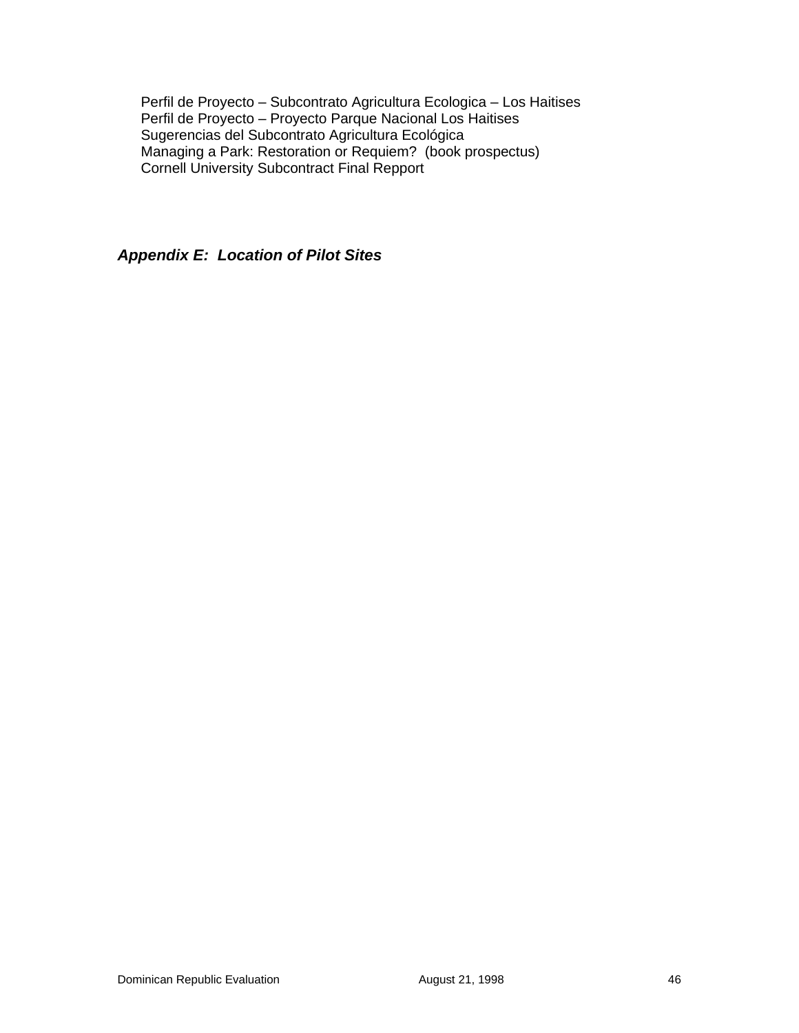Perfil de Proyecto – Subcontrato Agricultura Ecologica – Los Haitises Perfil de Proyecto – Proyecto Parque Nacional Los Haitises Sugerencias del Subcontrato Agricultura Ecológica Managing a Park: Restoration or Requiem? (book prospectus) Cornell University Subcontract Final Repport

*Appendix E: Location of Pilot Sites*